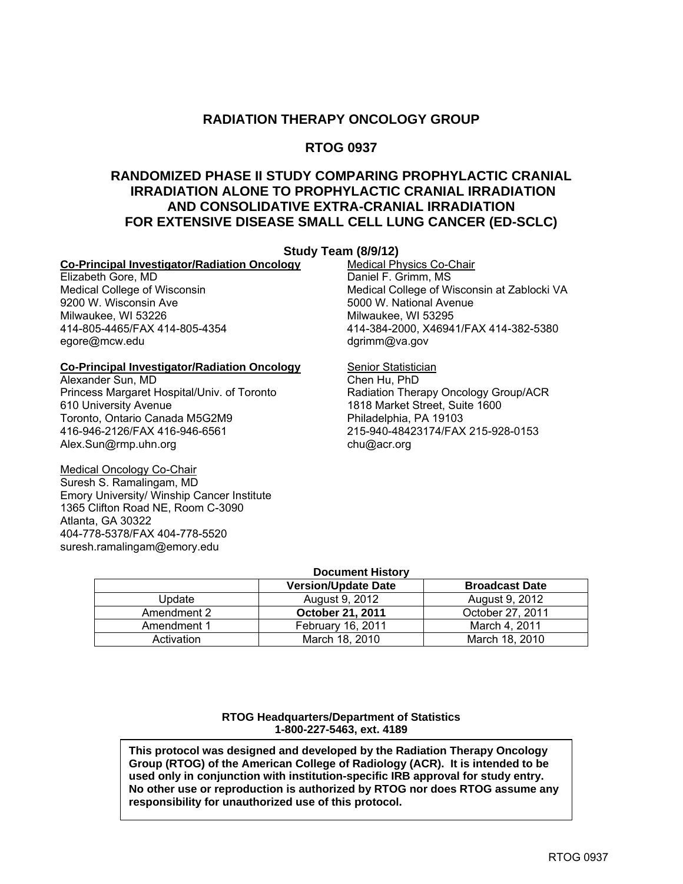#### **RADIATION THERAPY ONCOLOGY GROUP**

#### **RTOG 0937**

#### **RANDOMIZED PHASE II STUDY COMPARING PROPHYLACTIC CRANIAL IRRADIATION ALONE TO PROPHYLACTIC CRANIAL IRRADIATION AND CONSOLIDATIVE EXTRA-CRANIAL IRRADIATION FOR EXTENSIVE DISEASE SMALL CELL LUNG CANCER (ED-SCLC)**

## **Co-Principal Investigator/Radiation Oncology**<br>Elizabeth Gore. MD

Elizabeth Gore, MD<br>
Medical College of Wisconsin<br>
Medical College of Wisconsin<br>
Medical College of W Milwaukee, WI 53226 Milwaukee, WI 53295 egore@mcw.edu dgrimm@va.gov

#### **Co-Principal Investigator/Radiation Oncology Senior Statistician**

Alexander Sun, MD Chen Hu, PhD Princess Margaret Hospital/Univ. of Toronto Radiation Therapy Oncology Group/ACR<br>610 University Avenue 1818 Market Street, Suite 1600 Toronto, Ontario Canada M5G2M9 416-946-2126/FAX 416-946-6561 215-940-48423174/FAX 215-928-0153 Alex.Sun@rmp.uhn.org chu@acr.org chu@acr.org

Medical Oncology Co-Chair Suresh S. Ramalingam, MD Emory University/ Winship Cancer Institute 1365 Clifton Road NE, Room C-3090 Atlanta, GA 30322 404-778-5378/FAX 404-778-5520 suresh.ramalingam@emory.edu

**Study Team (8/9/12)**<br>**Day Medical Physics Co-Chair** Medical College of Wisconsin Medical College of Wisconsin at Zablocki VA<br>
9200 W. Wisconsin Ave **Medical College of Wisconsin at Zablocki** VA 5000 W. National Avenue 414-805-4465/FAX 414-805-4354 414-384-2000, X46941/FAX 414-382-5380

1818 Market Street, Suite 1600<br>Philadelphia, PA 19103

#### **Document History**

|             | <b>Version/Update Date</b> | <b>Broadcast Date</b> |
|-------------|----------------------------|-----------------------|
| Undate      | August 9, 2012             | August 9, 2012        |
| Amendment 2 | October 21, 2011           | October 27, 2011      |
| Amendment 1 | February 16, 2011          | March 4, 2011         |
| Activation  | March 18, 2010             | March 18, 2010        |

**RTOG Headquarters/Department of Statistics 1-800-227-5463, ext. 4189** 

**This protocol was designed and developed by the Radiation Therapy Oncology Group (RTOG) of the American College of Radiology (ACR). It is intended to be used only in conjunction with institution-specific IRB approval for study entry. No other use or reproduction is authorized by RTOG nor does RTOG assume any responsibility for unauthorized use of this protocol.**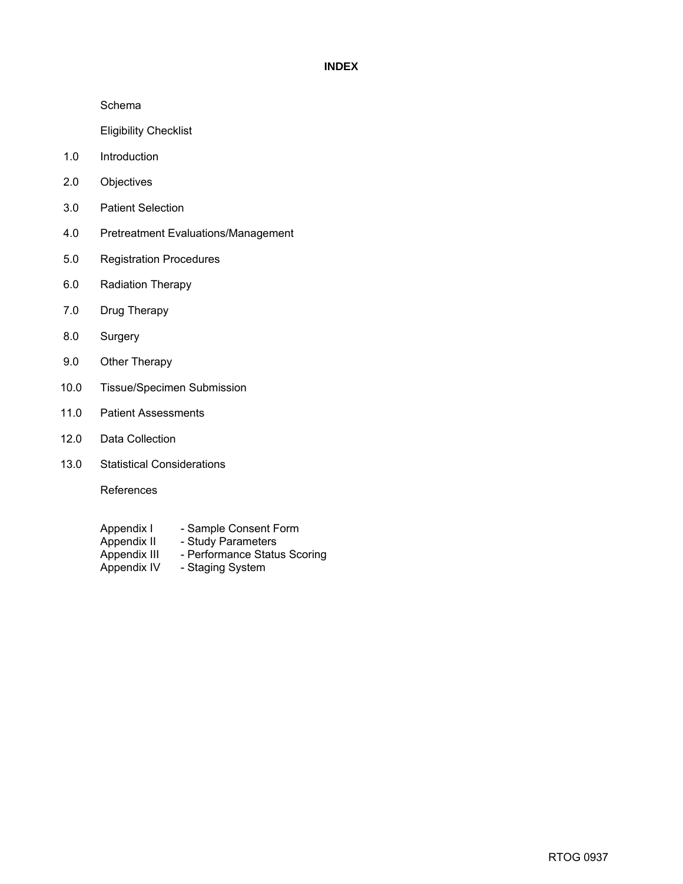#### **INDEX**

Schema

Eligibility Checklist

- 1.0 Introduction
- 2.0 Objectives
- 3.0 Patient Selection
- 4.0 Pretreatment Evaluations/Management
- 5.0 Registration Procedures
- 6.0 Radiation Therapy
- 7.0 Drug Therapy
- 8.0 Surgery
- 9.0 Other Therapy
- 10.0 Tissue/Specimen Submission
- 11.0 Patient Assessments
- 12.0 Data Collection
- 13.0 Statistical Considerations

References

- Appendix I Sample Consent Form<br>Appendix II Study Parameters
- Appendix II Study Parameters<br>Appendix III Performance Statu
- Appendix III Performance Status Scoring<br>Appendix IV Staging System
	- Staging System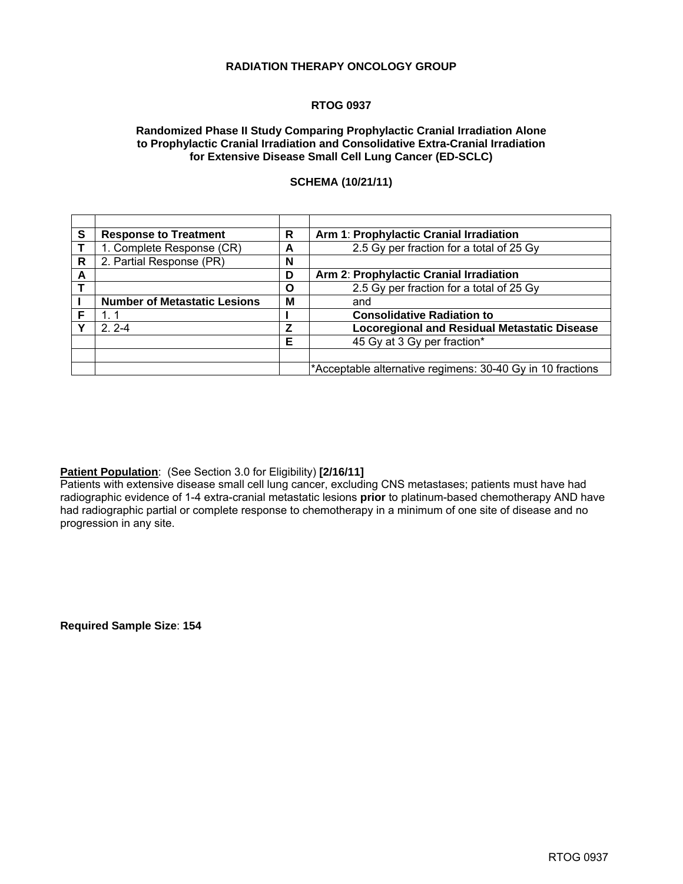#### **RADIATION THERAPY ONCOLOGY GROUP**

#### **RTOG 0937**

#### **Randomized Phase II Study Comparing Prophylactic Cranial Irradiation Alone to Prophylactic Cranial Irradiation and Consolidative Extra-Cranial Irradiation for Extensive Disease Small Cell Lung Cancer (ED-SCLC)**

#### **SCHEMA (10/21/11)**

| S | <b>Response to Treatment</b>        | R | Arm 1: Prophylactic Cranial Irradiation                    |
|---|-------------------------------------|---|------------------------------------------------------------|
|   | 1. Complete Response (CR)           | А | 2.5 Gy per fraction for a total of 25 Gy                   |
| R | 2. Partial Response (PR)            | N |                                                            |
| A |                                     | D | Arm 2: Prophylactic Cranial Irradiation                    |
|   |                                     | Ο | 2.5 Gy per fraction for a total of 25 Gy                   |
|   | <b>Number of Metastatic Lesions</b> | м | and                                                        |
| F |                                     |   | <b>Consolidative Radiation to</b>                          |
| ν | $2.2 - 4$                           | Z | <b>Locoregional and Residual Metastatic Disease</b>        |
|   |                                     | Е | 45 Gy at 3 Gy per fraction*                                |
|   |                                     |   |                                                            |
|   |                                     |   | *Acceptable alternative regimens: 30-40 Gy in 10 fractions |

#### **Patient Population**: (See Section 3.0 for Eligibility) **[2/16/11]**

Patients with extensive disease small cell lung cancer, excluding CNS metastases; patients must have had radiographic evidence of 1-4 extra-cranial metastatic lesions **prior** to platinum-based chemotherapy AND have had radiographic partial or complete response to chemotherapy in a minimum of one site of disease and no progression in any site.

**Required Sample Size**: **154**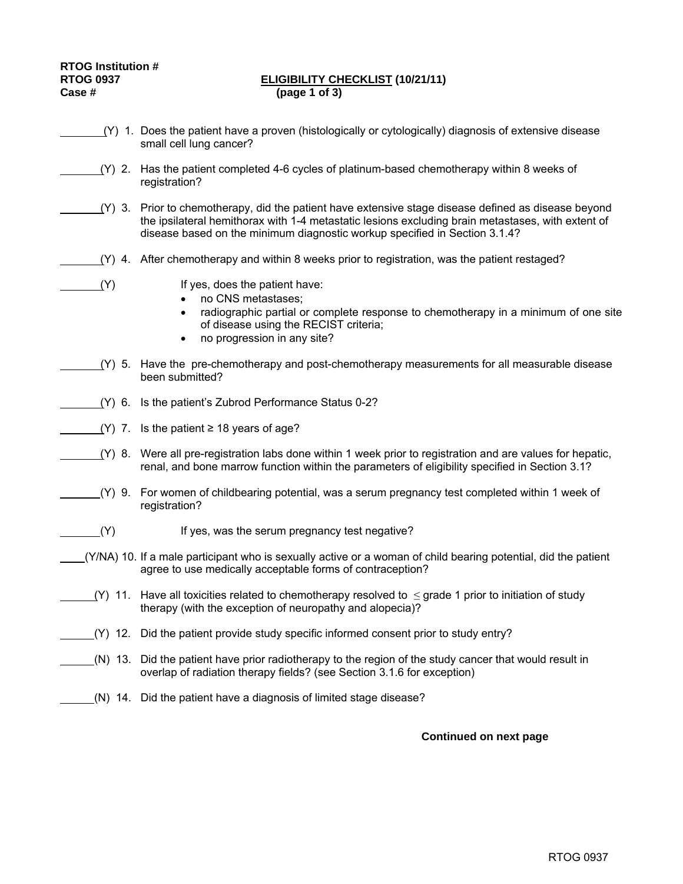#### **RTOG 0937 ELIGIBILITY CHECKLIST (10/21/11) Case # (page 1 of 3)**

- (Y) 1. Does the patient have a proven (histologically or cytologically) diagnosis of extensive disease small cell lung cancer?
	- (Y) 2. Has the patient completed 4-6 cycles of platinum-based chemotherapy within 8 weeks of registration?
- (Y) 3. Prior to chemotherapy, did the patient have extensive stage disease defined as disease beyond the ipsilateral hemithorax with 1-4 metastatic lesions excluding brain metastases, with extent of disease based on the minimum diagnostic workup specified in Section 3.1.4?
- (Y) 4. After chemotherapy and within 8 weeks prior to registration, was the patient restaged?

- (Y) If yes, does the patient have:
	- no CNS metastases;
	- radiographic partial or complete response to chemotherapy in a minimum of one site of disease using the RECIST criteria;
	- no progression in any site?
- (Y) 5. Have the pre-chemotherapy and post-chemotherapy measurements for all measurable disease been submitted?
- (Y) 6. Is the patient's Zubrod Performance Status 0-2?
- (Y) 7. Is the patient  $\geq$  18 years of age?
	- (Y) 8. Were all pre-registration labs done within 1 week prior to registration and are values for hepatic, renal, and bone marrow function within the parameters of eligibility specified in Section 3.1?
		- (Y) 9. For women of childbearing potential, was a serum pregnancy test completed within 1 week of registration?
- (Y) If yes, was the serum pregnancy test negative?
- (Y/NA) 10. If a male participant who is sexually active or a woman of child bearing potential, did the patient agree to use medically acceptable forms of contraception?
- (Y) 11. Have all toxicities related to chemotherapy resolved to  $\leq$  grade 1 prior to initiation of study therapy (with the exception of neuropathy and alopecia)?
- (Y) 12. Did the patient provide study specific informed consent prior to study entry?
	- (N) 13. Did the patient have prior radiotherapy to the region of the study cancer that would result in overlap of radiation therapy fields? (see Section 3.1.6 for exception)
	- (N) 14. Did the patient have a diagnosis of limited stage disease?

#### **Continued on next page**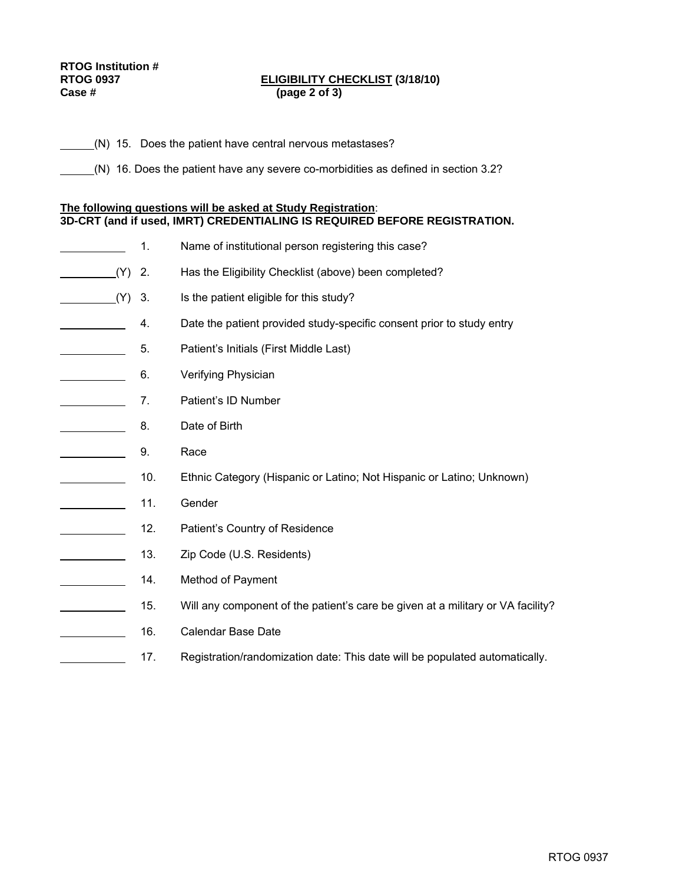# **RTOG Institution #**

#### **RTOG 0937 ELIGIBILITY CHECKLIST (3/18/10) Case # (page 2 of 3)**

(N) 15. Does the patient have central nervous metastases?

(N) 16. Does the patient have any severe co-morbidities as defined in section 3.2?

#### **The following questions will be asked at Study Registration**: **3D-CRT (and if used, IMRT) CREDENTIALING IS REQUIRED BEFORE REGISTRATION.**

- 1. Name of institutional person registering this case?
- (Y) 2. Has the Eligibility Checklist (above) been completed?
- (Y) 3. Is the patient eligible for this study?
- 4. Date the patient provided study-specific consent prior to study entry
- **5.** Patient's Initials (First Middle Last)
	- **6.** Verifying Physician
	- **7.** Patient's ID Number
- **EXECUTE:** 8. Date of Birth
- **2.** 9. Race
- 10. Ethnic Category (Hispanic or Latino; Not Hispanic or Latino; Unknown)
- 11. Gender
- 12. Patient's Country of Residence
- 13. Zip Code (U.S. Residents)
- **Example 24.** Method of Payment
- 15. Will any component of the patient's care be given at a military or VA facility?
- 16. Calendar Base Date
	- 17. Registration/randomization date: This date will be populated automatically.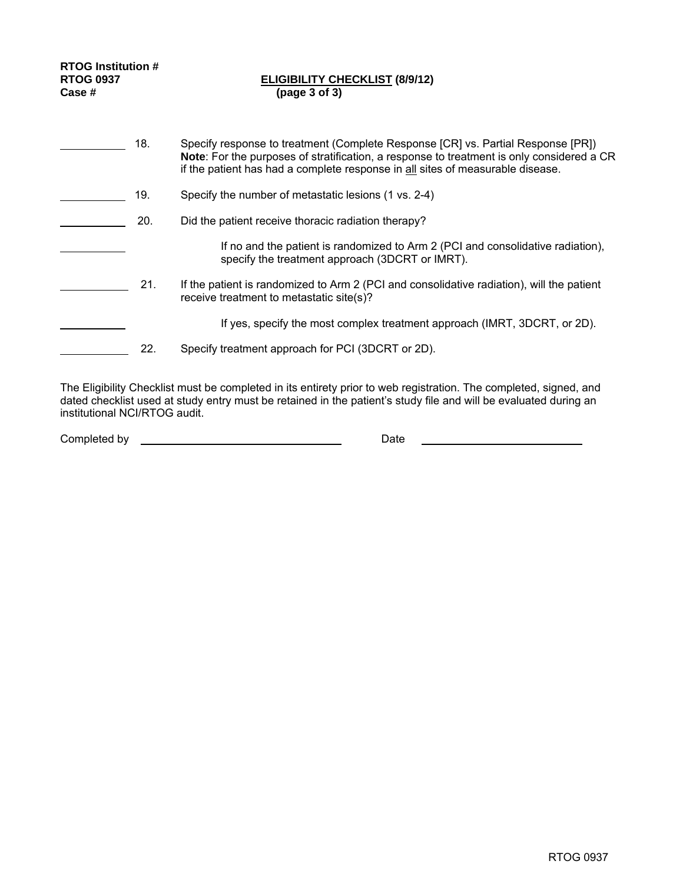| <b>RTOG Institution #</b><br><b>RTOG 0937</b><br>Case  # |     | <b>ELIGIBILITY CHECKLIST (8/9/12)</b><br>(page 3 of 3)                                                                                                                                                                                                          |
|----------------------------------------------------------|-----|-----------------------------------------------------------------------------------------------------------------------------------------------------------------------------------------------------------------------------------------------------------------|
|                                                          | 18. | Specify response to treatment (Complete Response [CR] vs. Partial Response [PR])<br>Note: For the purposes of stratification, a response to treatment is only considered a CR<br>if the patient has had a complete response in all sites of measurable disease. |
|                                                          | 19. | Specify the number of metastatic lesions (1 vs. 2-4)                                                                                                                                                                                                            |
|                                                          | 20. | Did the patient receive thoracic radiation therapy?                                                                                                                                                                                                             |
|                                                          |     | If no and the patient is randomized to Arm 2 (PCI and consolidative radiation),<br>specify the treatment approach (3DCRT or IMRT).                                                                                                                              |
|                                                          | 21. | If the patient is randomized to Arm 2 (PCI and consolidative radiation), will the patient<br>receive treatment to metastatic site(s)?                                                                                                                           |
|                                                          |     | If yes, specify the most complex treatment approach (IMRT, 3DCRT, or 2D).                                                                                                                                                                                       |
|                                                          | 22. | Specify treatment approach for PCI (3DCRT or 2D).                                                                                                                                                                                                               |

The Eligibility Checklist must be completed in its entirety prior to web registration. The completed, signed, and dated checklist used at study entry must be retained in the patient's study file and will be evaluated during an institutional NCI/RTOG audit.

Completed by Date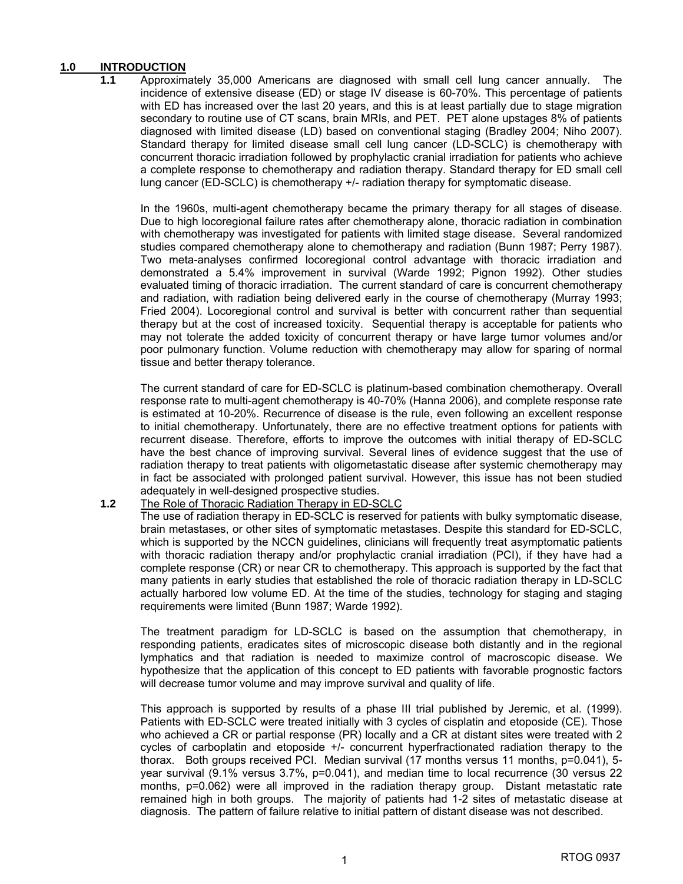#### **1.0 INTRODUCTION**

**1.1** Approximately 35,000 Americans are diagnosed with small cell lung cancer annually. The incidence of extensive disease (ED) or stage IV disease is 60-70%. This percentage of patients with ED has increased over the last 20 years, and this is at least partially due to stage migration secondary to routine use of CT scans, brain MRIs, and PET. PET alone upstages 8% of patients diagnosed with limited disease (LD) based on conventional staging (Bradley 2004; Niho 2007). Standard therapy for limited disease small cell lung cancer (LD-SCLC) is chemotherapy with concurrent thoracic irradiation followed by prophylactic cranial irradiation for patients who achieve a complete response to chemotherapy and radiation therapy. Standard therapy for ED small cell lung cancer (ED-SCLC) is chemotherapy +/- radiation therapy for symptomatic disease.

 In the 1960s, multi-agent chemotherapy became the primary therapy for all stages of disease. Due to high locoregional failure rates after chemotherapy alone, thoracic radiation in combination with chemotherapy was investigated for patients with limited stage disease. Several randomized studies compared chemotherapy alone to chemotherapy and radiation (Bunn 1987; Perry 1987). Two meta-analyses confirmed locoregional control advantage with thoracic irradiation and demonstrated a 5.4% improvement in survival (Warde 1992; Pignon 1992). Other studies evaluated timing of thoracic irradiation. The current standard of care is concurrent chemotherapy and radiation, with radiation being delivered early in the course of chemotherapy (Murray 1993; Fried 2004). Locoregional control and survival is better with concurrent rather than sequential therapy but at the cost of increased toxicity. Sequential therapy is acceptable for patients who may not tolerate the added toxicity of concurrent therapy or have large tumor volumes and/or poor pulmonary function. Volume reduction with chemotherapy may allow for sparing of normal tissue and better therapy tolerance.

 The current standard of care for ED-SCLC is platinum-based combination chemotherapy. Overall response rate to multi-agent chemotherapy is 40-70% (Hanna 2006), and complete response rate is estimated at 10-20%. Recurrence of disease is the rule, even following an excellent response to initial chemotherapy. Unfortunately, there are no effective treatment options for patients with recurrent disease. Therefore, efforts to improve the outcomes with initial therapy of ED-SCLC have the best chance of improving survival. Several lines of evidence suggest that the use of radiation therapy to treat patients with oligometastatic disease after systemic chemotherapy may in fact be associated with prolonged patient survival. However, this issue has not been studied adequately in well-designed prospective studies.

#### **1.2** The Role of Thoracic Radiation Therapy in ED-SCLC

 The use of radiation therapy in ED-SCLC is reserved for patients with bulky symptomatic disease, brain metastases, or other sites of symptomatic metastases. Despite this standard for ED-SCLC, which is supported by the NCCN guidelines, clinicians will frequently treat asymptomatic patients with thoracic radiation therapy and/or prophylactic cranial irradiation (PCI), if they have had a complete response (CR) or near CR to chemotherapy. This approach is supported by the fact that many patients in early studies that established the role of thoracic radiation therapy in LD-SCLC actually harbored low volume ED. At the time of the studies, technology for staging and staging requirements were limited (Bunn 1987; Warde 1992).

 The treatment paradigm for LD-SCLC is based on the assumption that chemotherapy, in responding patients, eradicates sites of microscopic disease both distantly and in the regional lymphatics and that radiation is needed to maximize control of macroscopic disease. We hypothesize that the application of this concept to ED patients with favorable prognostic factors will decrease tumor volume and may improve survival and quality of life.

 This approach is supported by results of a phase III trial published by Jeremic, et al. (1999). Patients with ED-SCLC were treated initially with 3 cycles of cisplatin and etoposide (CE). Those who achieved a CR or partial response (PR) locally and a CR at distant sites were treated with 2 cycles of carboplatin and etoposide +/- concurrent hyperfractionated radiation therapy to the thorax. Both groups received PCI. Median survival (17 months versus 11 months, p=0.041), 5year survival (9.1% versus 3.7%, p=0.041), and median time to local recurrence (30 versus 22 months, p=0.062) were all improved in the radiation therapy group. Distant metastatic rate remained high in both groups. The majority of patients had 1-2 sites of metastatic disease at diagnosis. The pattern of failure relative to initial pattern of distant disease was not described.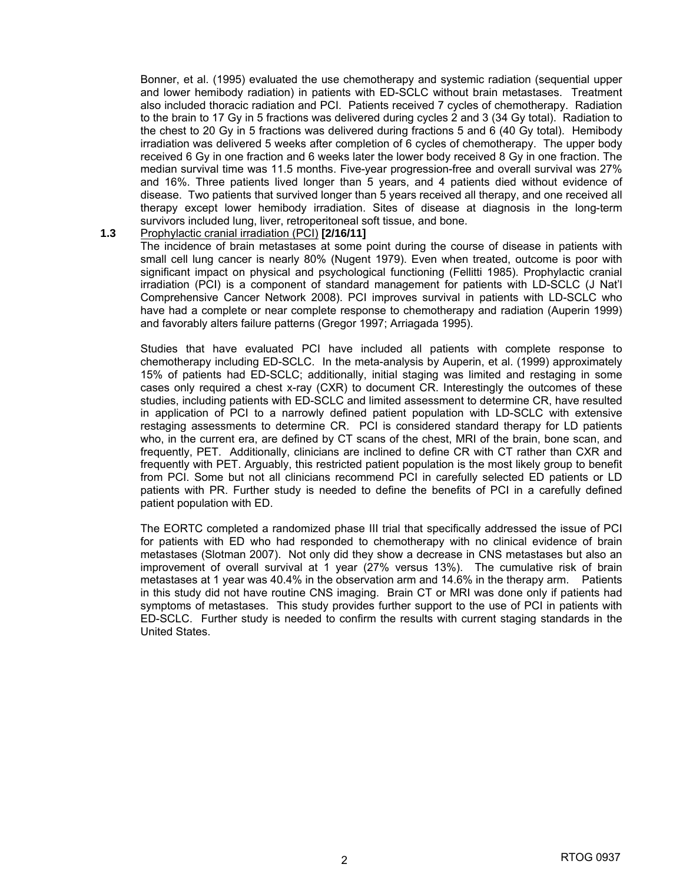Bonner, et al. (1995) evaluated the use chemotherapy and systemic radiation (sequential upper and lower hemibody radiation) in patients with ED-SCLC without brain metastases. Treatment also included thoracic radiation and PCI. Patients received 7 cycles of chemotherapy. Radiation to the brain to 17 Gy in 5 fractions was delivered during cycles 2 and 3 (34 Gy total). Radiation to the chest to 20 Gy in 5 fractions was delivered during fractions 5 and 6 (40 Gy total). Hemibody irradiation was delivered 5 weeks after completion of 6 cycles of chemotherapy. The upper body received 6 Gy in one fraction and 6 weeks later the lower body received 8 Gy in one fraction. The median survival time was 11.5 months. Five-year progression-free and overall survival was 27% and 16%. Three patients lived longer than 5 years, and 4 patients died without evidence of disease. Two patients that survived longer than 5 years received all therapy, and one received all therapy except lower hemibody irradiation. Sites of disease at diagnosis in the long-term survivors included lung, liver, retroperitoneal soft tissue, and bone.

#### **1.3** Prophylactic cranial irradiation (PCI) **[2/16/11]**

 The incidence of brain metastases at some point during the course of disease in patients with small cell lung cancer is nearly 80% (Nugent 1979). Even when treated, outcome is poor with significant impact on physical and psychological functioning (Fellitti 1985). Prophylactic cranial irradiation (PCI) is a component of standard management for patients with LD-SCLC (J Nat'l Comprehensive Cancer Network 2008). PCI improves survival in patients with LD-SCLC who have had a complete or near complete response to chemotherapy and radiation (Auperin 1999) and favorably alters failure patterns (Gregor 1997; Arriagada 1995).

 Studies that have evaluated PCI have included all patients with complete response to chemotherapy including ED-SCLC. In the meta-analysis by Auperin, et al. (1999) approximately 15% of patients had ED-SCLC; additionally, initial staging was limited and restaging in some cases only required a chest x-ray (CXR) to document CR. Interestingly the outcomes of these studies, including patients with ED-SCLC and limited assessment to determine CR, have resulted in application of PCI to a narrowly defined patient population with LD-SCLC with extensive restaging assessments to determine CR. PCI is considered standard therapy for LD patients who, in the current era, are defined by CT scans of the chest, MRI of the brain, bone scan, and frequently, PET. Additionally, clinicians are inclined to define CR with CT rather than CXR and frequently with PET. Arguably, this restricted patient population is the most likely group to benefit from PCI. Some but not all clinicians recommend PCI in carefully selected ED patients or LD patients with PR. Further study is needed to define the benefits of PCI in a carefully defined patient population with ED.

 The EORTC completed a randomized phase III trial that specifically addressed the issue of PCI for patients with ED who had responded to chemotherapy with no clinical evidence of brain metastases (Slotman 2007). Not only did they show a decrease in CNS metastases but also an improvement of overall survival at 1 year (27% versus 13%). The cumulative risk of brain metastases at 1 year was 40.4% in the observation arm and 14.6% in the therapy arm. Patients in this study did not have routine CNS imaging. Brain CT or MRI was done only if patients had symptoms of metastases. This study provides further support to the use of PCI in patients with ED-SCLC. Further study is needed to confirm the results with current staging standards in the United States.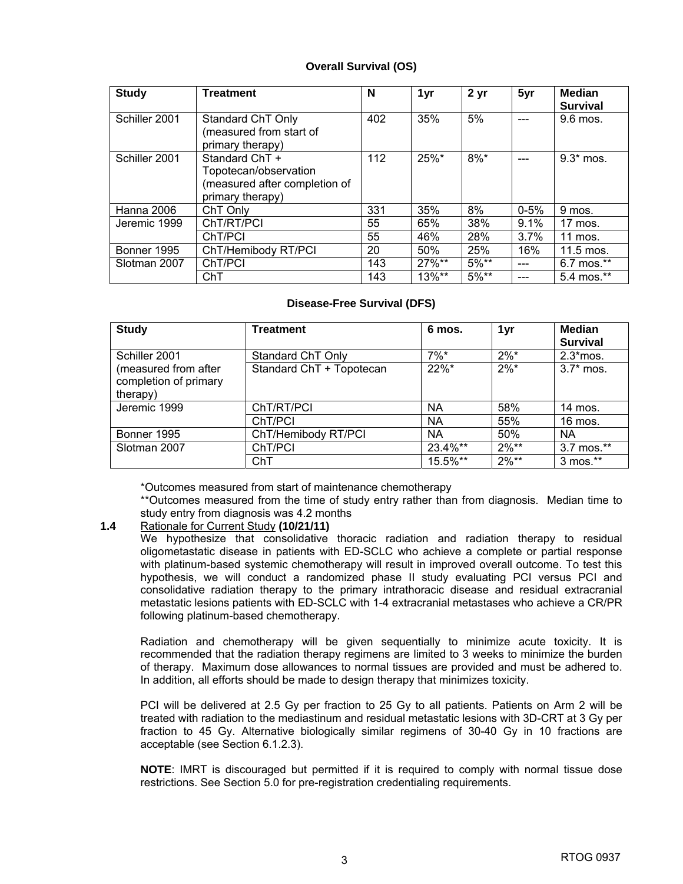#### **Overall Survival (OS)**

| <b>Study</b>  | <b>Treatment</b>                                                                             | N   | 1yr      | 2 <sub>yr</sub> | 5yr      | <b>Median</b><br><b>Survival</b> |
|---------------|----------------------------------------------------------------------------------------------|-----|----------|-----------------|----------|----------------------------------|
| Schiller 2001 | Standard ChT Only<br>(measured from start of<br>primary therapy)                             | 402 | 35%      | 5%              |          | 9.6 mos.                         |
| Schiller 2001 | Standard ChT +<br>Topotecan/observation<br>(measured after completion of<br>primary therapy) | 112 | 25%*     | $8\%$ *         |          | $9.3*$ mos.                      |
| Hanna 2006    | ChT Only                                                                                     | 331 | 35%      | 8%              | $0 - 5%$ | 9 mos.                           |
| Jeremic 1999  | ChT/RT/PCI                                                                                   | 55  | 65%      | 38%             | 9.1%     | 17 mos.                          |
|               | ChT/PCI                                                                                      | 55  | 46%      | 28%             | $3.7\%$  | 11 mos.                          |
| Bonner 1995   | ChT/Hemibody RT/PCI                                                                          | 20  | 50%      | 25%             | 16%      | 11.5 mos.                        |
| Slotman 2007  | ChT/PCI                                                                                      | 143 | $27\%**$ | $5\%**$         |          | 6.7 mos.**                       |
|               | ChT                                                                                          | 143 | 13%**    | $5\%**$         |          | 5.4 mos.**                       |

#### **Disease-Free Survival (DFS)**

| <b>Study</b>                                              | <b>Treatment</b>         | 6 mos.    | 1yr     | <b>Median</b><br><b>Survival</b> |
|-----------------------------------------------------------|--------------------------|-----------|---------|----------------------------------|
| Schiller 2001                                             | Standard ChT Only        | $7\%$ *   | $2\%$ * | $2.3$ *mos.                      |
| (measured from after<br>completion of primary<br>therapy) | Standard ChT + Topotecan | 22%*      | $2\%$ * | $3.7*$ mos.                      |
| Jeremic 1999                                              | ChT/RT/PCI               | ΝA        | 58%     | 14 mos.                          |
|                                                           | ChT/PCI                  | ΝA        | 55%     | 16 mos.                          |
| Bonner 1995                                               | ChT/Hemibody RT/PCI      | <b>NA</b> | 50%     | <b>NA</b>                        |
| Slotman 2007                                              | ChT/PCI                  | 23.4%**   | $2\%**$ | 3.7 mos.**                       |
|                                                           | ChT                      | 15.5%**   | $2\%**$ | 3 mos.**                         |

\*Outcomes measured from start of maintenance chemotherapy

 \*\*Outcomes measured from the time of study entry rather than from diagnosis. Median time to study entry from diagnosis was 4.2 months

#### **1.4** Rationale for Current Study **(10/21/11)**

 We hypothesize that consolidative thoracic radiation and radiation therapy to residual oligometastatic disease in patients with ED-SCLC who achieve a complete or partial response with platinum-based systemic chemotherapy will result in improved overall outcome. To test this hypothesis, we will conduct a randomized phase II study evaluating PCI versus PCI and consolidative radiation therapy to the primary intrathoracic disease and residual extracranial metastatic lesions patients with ED-SCLC with 1-4 extracranial metastases who achieve a CR/PR following platinum-based chemotherapy.

 Radiation and chemotherapy will be given sequentially to minimize acute toxicity. It is recommended that the radiation therapy regimens are limited to 3 weeks to minimize the burden of therapy. Maximum dose allowances to normal tissues are provided and must be adhered to. In addition, all efforts should be made to design therapy that minimizes toxicity.

 PCI will be delivered at 2.5 Gy per fraction to 25 Gy to all patients. Patients on Arm 2 will be treated with radiation to the mediastinum and residual metastatic lesions with 3D-CRT at 3 Gy per fraction to 45 Gy. Alternative biologically similar regimens of 30-40 Gy in 10 fractions are acceptable (see Section 6.1.2.3).

**NOTE**: IMRT is discouraged but permitted if it is required to comply with normal tissue dose restrictions. See Section 5.0 for pre-registration credentialing requirements.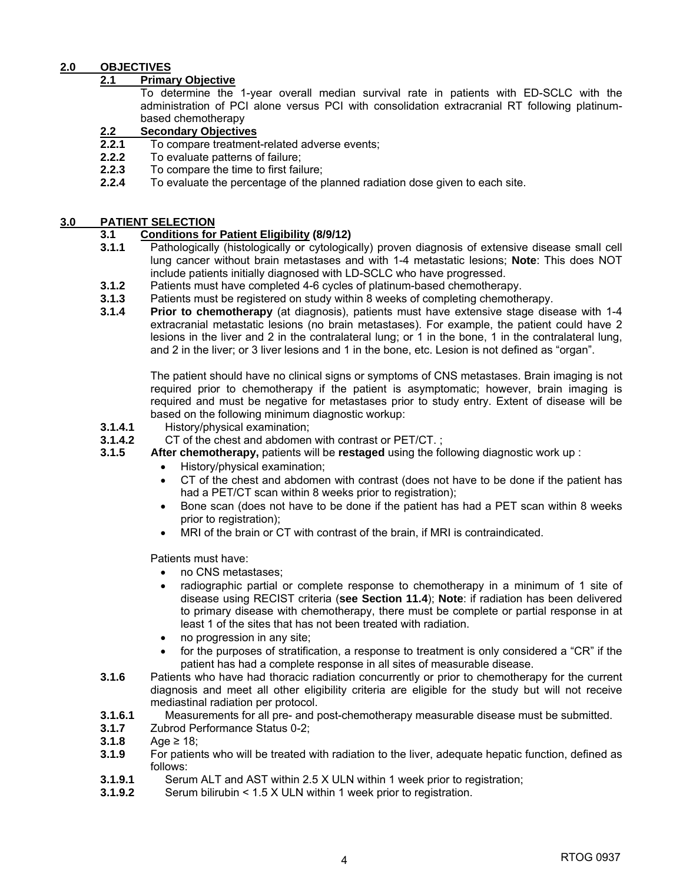#### **2.0 OBJECTIVES**

#### **2.1 Primary Objective**

 To determine the 1-year overall median survival rate in patients with ED-SCLC with the administration of PCI alone versus PCI with consolidation extracranial RT following platinumbased chemotherapy

### **2.2 Secondary Objectives**<br>**2.2.1** To compare treatment

- **2.2.1** To compare treatment-related adverse events;
- **2.2.2** To evaluate patterns of failure;
- **2.2.3** To compare the time to first failure;
- **2.2.4** To evaluate the percentage of the planned radiation dose given to each site.

#### **3.0 PATIENT SELECTION**

## **3.1 Conditions for Patient Eligibility (8/9/12)**

- **3.1.1** Pathologically (histologically or cytologically) proven diagnosis of extensive disease small cell lung cancer without brain metastases and with 1-4 metastatic lesions; **Note**: This does NOT include patients initially diagnosed with LD-SCLC who have progressed.
- **3.1.2** Patients must have completed 4-6 cycles of platinum-based chemotherapy.
- **3.1.3** Patients must be registered on study within 8 weeks of completing chemotherapy.
- **3.1.4 Prior to chemotherapy** (at diagnosis), patients must have extensive stage disease with 1-4 extracranial metastatic lesions (no brain metastases). For example, the patient could have 2 lesions in the liver and 2 in the contralateral lung; or 1 in the bone, 1 in the contralateral lung, and 2 in the liver; or 3 liver lesions and 1 in the bone, etc. Lesion is not defined as "organ".

The patient should have no clinical signs or symptoms of CNS metastases. Brain imaging is not required prior to chemotherapy if the patient is asymptomatic; however, brain imaging is required and must be negative for metastases prior to study entry. Extent of disease will be based on the following minimum diagnostic workup:

**3.1.4.1** History/physical examination;

**3.1.4.2** CT of the chest and abdomen with contrast or PET/CT. ;

- **3.1.5 After chemotherapy,** patients will be **restaged** using the following diagnostic work up :
	- History/physical examination;
	- CT of the chest and abdomen with contrast (does not have to be done if the patient has had a PET/CT scan within 8 weeks prior to registration);
	- Bone scan (does not have to be done if the patient has had a PET scan within 8 weeks prior to registration);
	- MRI of the brain or CT with contrast of the brain, if MRI is contraindicated.

Patients must have:

- no CNS metastases:
- radiographic partial or complete response to chemotherapy in a minimum of 1 site of disease using RECIST criteria (**see Section 11.4**); **Note**: if radiation has been delivered to primary disease with chemotherapy, there must be complete or partial response in at least 1 of the sites that has not been treated with radiation.
- no progression in any site;
- for the purposes of stratification, a response to treatment is only considered a "CR" if the patient has had a complete response in all sites of measurable disease.
- **3.1.6** Patients who have had thoracic radiation concurrently or prior to chemotherapy for the current diagnosis and meet all other eligibility criteria are eligible for the study but will not receive mediastinal radiation per protocol.
- **3.1.6.1** Measurements for all pre- and post-chemotherapy measurable disease must be submitted.
- **3.1.7** Zubrod Performance Status 0-2;
- **3.1.8** Age ≥ 18;
- **3.1.9** For patients who will be treated with radiation to the liver, adequate hepatic function, defined as follows:
- **3.1.9.1** Serum ALT and AST within 2.5 X ULN within 1 week prior to registration;
- **3.1.9.2** Serum bilirubin < 1.5 X ULN within 1 week prior to registration.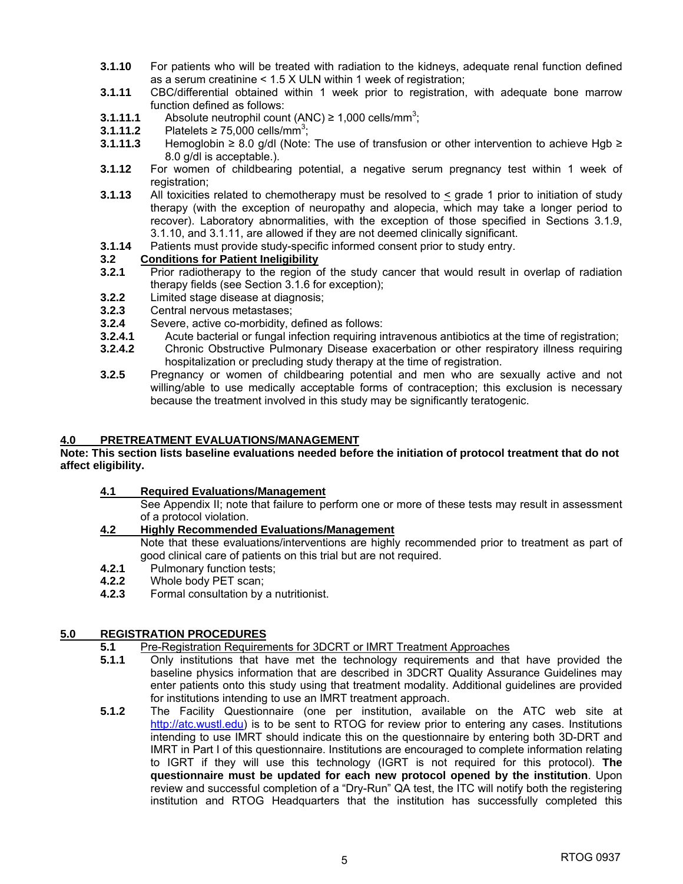- **3.1.10** For patients who will be treated with radiation to the kidneys, adequate renal function defined as a serum creatinine < 1.5 X ULN within 1 week of registration;
- **3.1.11** CBC/differential obtained within 1 week prior to registration, with adequate bone marrow function defined as follows:
- **3.1.11.1** Absolute neutrophil count  $(ANC) \ge 1,000$  cells/mm<sup>3</sup>;
- **3.1.11.2** Platelets ≥ 75,000 cells/mm<sup>3</sup>;
- **3.1.11.3** Hemoglobin ≥ 8.0 g/dl (Note: The use of transfusion or other intervention to achieve Hgb ≥ 8.0 g/dl is acceptable.).
- **3.1.12** For women of childbearing potential, a negative serum pregnancy test within 1 week of registration;
- **3.1.13** All toxicities related to chemotherapy must be resolved to  $\leq$  grade 1 prior to initiation of study therapy (with the exception of neuropathy and alopecia, which may take a longer period to recover). Laboratory abnormalities, with the exception of those specified in Sections 3.1.9, 3.1.10, and 3.1.11, are allowed if they are not deemed clinically significant.
- **3.1.14** Patients must provide study-specific informed consent prior to study entry.

#### **3.2 Conditions for Patient Ineligibility**

- **3.2.1** Prior radiotherapy to the region of the study cancer that would result in overlap of radiation therapy fields (see Section 3.1.6 for exception);
- **3.2.2** Limited stage disease at diagnosis;
- **3.2.3** Central nervous metastases;
- **3.2.4** Severe, active co-morbidity, defined as follows:
- **3.2.4.1** Acute bacterial or fungal infection requiring intravenous antibiotics at the time of registration;
- **3.2.4.2** Chronic Obstructive Pulmonary Disease exacerbation or other respiratory illness requiring hospitalization or precluding study therapy at the time of registration.
- **3.2.5** Pregnancy or women of childbearing potential and men who are sexually active and not willing/able to use medically acceptable forms of contraception; this exclusion is necessary because the treatment involved in this study may be significantly teratogenic.

#### **4.0 PRETREATMENT EVALUATIONS/MANAGEMENT**

**Note: This section lists baseline evaluations needed before the initiation of protocol treatment that do not affect eligibility.** 

**4.1 Required Evaluations/Management** 

 See Appendix II; note that failure to perform one or more of these tests may result in assessment of a protocol violation.

#### **4.2 Highly Recommended Evaluations/Management**

 Note that these evaluations/interventions are highly recommended prior to treatment as part of good clinical care of patients on this trial but are not required.

- **4.2.1** Pulmonary function tests;
- **4.2.2** Whole body PET scan;
- **4.2.3** Formal consultation by a nutritionist.

#### **5.0 REGISTRATION PROCEDURES**

- **5.1** Pre-Registration Requirements for 3DCRT or IMRT Treatment Approaches **5.1.1** Only institutions that have met the technology requirements and that
- **5.1.1** Only institutions that have met the technology requirements and that have provided the baseline physics information that are described in 3DCRT Quality Assurance Guidelines may enter patients onto this study using that treatment modality. Additional guidelines are provided for institutions intending to use an IMRT treatment approach.
- **5.1.2** The Facility Questionnaire (one per institution, available on the ATC web site at http://atc.wustl.edu) is to be sent to RTOG for review prior to entering any cases. Institutions intending to use IMRT should indicate this on the questionnaire by entering both 3D-DRT and IMRT in Part I of this questionnaire. Institutions are encouraged to complete information relating to IGRT if they will use this technology (IGRT is not required for this protocol). **The questionnaire must be updated for each new protocol opened by the institution**. Upon review and successful completion of a "Dry-Run" QA test, the ITC will notify both the registering institution and RTOG Headquarters that the institution has successfully completed this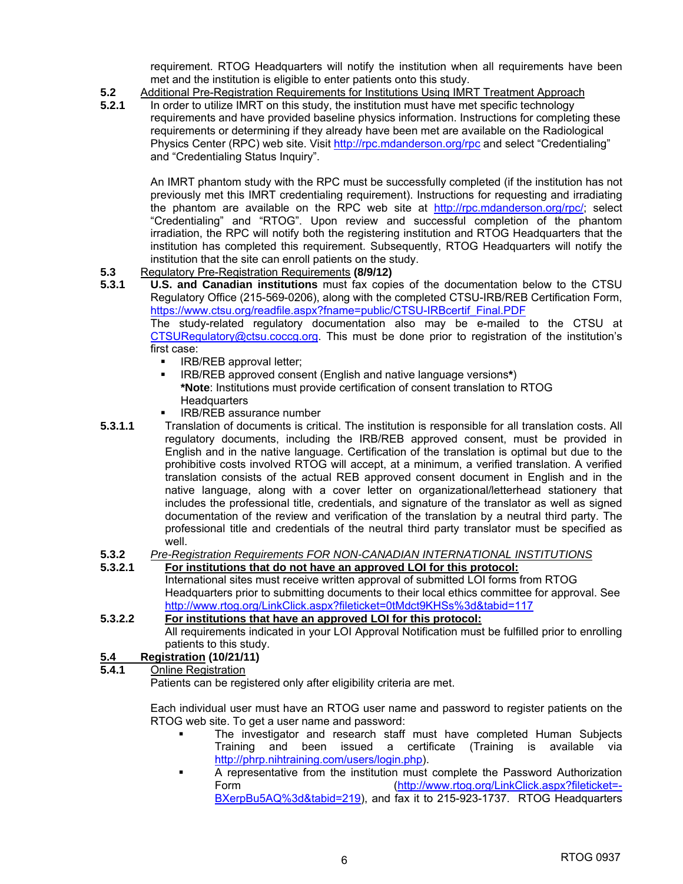requirement. RTOG Headquarters will notify the institution when all requirements have been met and the institution is eligible to enter patients onto this study.

**5.2** Additional Pre-Registration Requirements for Institutions Using IMRT Treatment Approach<br>**5.2.1** In order to utilize IMRT on this study, the institution must have met specific technology

**5.2.1** In order to utilize IMRT on this study, the institution must have met specific technology requirements and have provided baseline physics information. Instructions for completing these requirements or determining if they already have been met are available on the Radiological Physics Center (RPC) web site. Visit http://rpc.mdanderson.org/rpc and select "Credentialing" and "Credentialing Status Inquiry".

 An IMRT phantom study with the RPC must be successfully completed (if the institution has not previously met this IMRT credentialing requirement). Instructions for requesting and irradiating the phantom are available on the RPC web site at http://rpc.mdanderson.org/rpc/; select "Credentialing" and "RTOG". Upon review and successful completion of the phantom irradiation, the RPC will notify both the registering institution and RTOG Headquarters that the institution has completed this requirement. Subsequently, RTOG Headquarters will notify the institution that the site can enroll patients on the study.

- **5.3** Regulatory Pre-Registration Requirements **(8/9/12)**
- **5.3.1 U.S. and Canadian institutions** must fax copies of the documentation below to the CTSU Regulatory Office (215-569-0206), along with the completed CTSU-IRB/REB Certification Form, https://www.ctsu.org/readfile.aspx?fname=public/CTSU-IRBcertif\_Final.PDF The study-related regulatory documentation also may be e-mailed to the CTSU at CTSURegulatory@ctsu.coccg.org. This must be done prior to registration of the institution's first case:
	- **IRB/REB approval letter;**
	- IRB/REB approved consent (English and native language versions**\***) **\*Note**: Institutions must provide certification of consent translation to RTOG **Headquarters**
	- IRB/REB assurance number
- **5.3.1.1** Translation of documents is critical. The institution is responsible for all translation costs. All regulatory documents, including the IRB/REB approved consent, must be provided in English and in the native language. Certification of the translation is optimal but due to the prohibitive costs involved RTOG will accept, at a minimum, a verified translation. A verified translation consists of the actual REB approved consent document in English and in the native language, along with a cover letter on organizational/letterhead stationery that includes the professional title, credentials, and signature of the translator as well as signed documentation of the review and verification of the translation by a neutral third party. The professional title and credentials of the neutral third party translator must be specified as well.

#### **5.3.2** *Pre-Registration Requirements FOR NON-CANADIAN INTERNATIONAL INSTITUTIONS*

- **5.3.2.1 For institutions that do not have an approved LOI for this protocol:** International sites must receive written approval of submitted LOI forms from RTOG Headquarters prior to submitting documents to their local ethics committee for approval. See http://www.rtog.org/LinkClick.aspx?fileticket=0tMdct9KHSs%3d&tabid=117
- **5.3.2.2 For institutions that have an approved LOI for this protocol:** All requirements indicated in your LOI Approval Notification must be fulfilled prior to enrolling patients to this study.

## **5.4 Registration (10/21/11)**<br>**5.4.1** Online Registration

**5.4.1** Online Registration

Patients can be registered only after eligibility criteria are met.

 Each individual user must have an RTOG user name and password to register patients on the RTOG web site. To get a user name and password:

- The investigator and research staff must have completed Human Subjects Training and been issued a certificate (Training is available via http://phrp.nihtraining.com/users/login.php).
- A representative from the institution must complete the Password Authorization Form (http://www.rtog.org/LinkClick.aspx?fileticket=- BXerpBu5AQ%3d&tabid=219), and fax it to 215-923-1737. RTOG Headquarters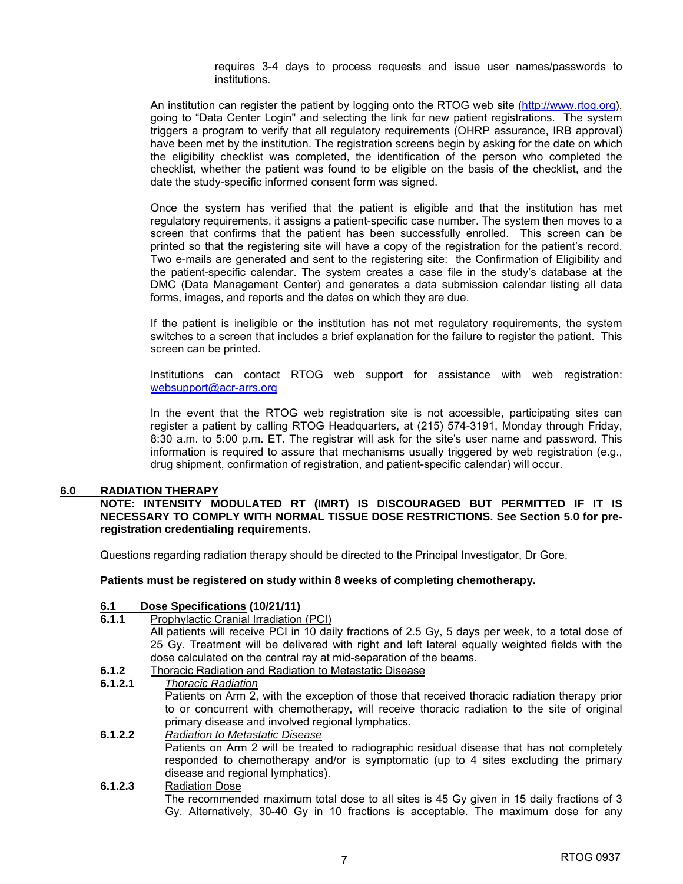requires 3-4 days to process requests and issue user names/passwords to institutions.

 An institution can register the patient by logging onto the RTOG web site (http://www.rtog.org), going to "Data Center Login" and selecting the link for new patient registrations. The system triggers a program to verify that all regulatory requirements (OHRP assurance, IRB approval) have been met by the institution. The registration screens begin by asking for the date on which the eligibility checklist was completed, the identification of the person who completed the checklist, whether the patient was found to be eligible on the basis of the checklist, and the date the study-specific informed consent form was signed.

 Once the system has verified that the patient is eligible and that the institution has met regulatory requirements, it assigns a patient-specific case number. The system then moves to a screen that confirms that the patient has been successfully enrolled. This screen can be printed so that the registering site will have a copy of the registration for the patient's record. Two e-mails are generated and sent to the registering site: the Confirmation of Eligibility and the patient-specific calendar. The system creates a case file in the study's database at the DMC (Data Management Center) and generates a data submission calendar listing all data forms, images, and reports and the dates on which they are due.

 If the patient is ineligible or the institution has not met regulatory requirements, the system switches to a screen that includes a brief explanation for the failure to register the patient. This screen can be printed.

 Institutions can contact RTOG web support for assistance with web registration: websupport@acr-arrs.org

 In the event that the RTOG web registration site is not accessible, participating sites can register a patient by calling RTOG Headquarters, at (215) 574-3191, Monday through Friday, 8:30 a.m. to 5:00 p.m. ET. The registrar will ask for the site's user name and password. This information is required to assure that mechanisms usually triggered by web registration (e.g., drug shipment, confirmation of registration, and patient-specific calendar) will occur.

#### **6.0 RADIATION THERAPY**

**NOTE: INTENSITY MODULATED RT (IMRT) IS DISCOURAGED BUT PERMITTED IF IT IS NECESSARY TO COMPLY WITH NORMAL TISSUE DOSE RESTRICTIONS. See Section 5.0 for preregistration credentialing requirements.**

Questions regarding radiation therapy should be directed to the Principal Investigator, Dr Gore.

**Patients must be registered on study within 8 weeks of completing chemotherapy.** 

#### **6.1 Dose Specifications (10/21/11)**

**6.1.1** Prophylactic Cranial Irradiation (PCI)

All patients will receive PCI in 10 daily fractions of 2.5 Gy, 5 days per week, to a total dose of 25 Gy. Treatment will be delivered with right and left lateral equally weighted fields with the dose calculated on the central ray at mid-separation of the beams.

- **6.1.2** Thoracic Radiation and Radiation to Metastatic Disease
- **6.1.2.1** *Thoracic Radiation*  Patients on Arm 2, with the exception of those that received thoracic radiation therapy prior to or concurrent with chemotherapy, will receive thoracic radiation to the site of original primary disease and involved regional lymphatics. **6.1.2.2** *Radiation to Metastatic Disease*

Patients on Arm 2 will be treated to radiographic residual disease that has not completely responded to chemotherapy and/or is symptomatic (up to 4 sites excluding the primary disease and regional lymphatics).

#### **6.1.2.3** Radiation Dose The recommended maximum total dose to all sites is 45 Gy given in 15 daily fractions of 3 Gy. Alternatively, 30-40 Gy in 10 fractions is acceptable. The maximum dose for any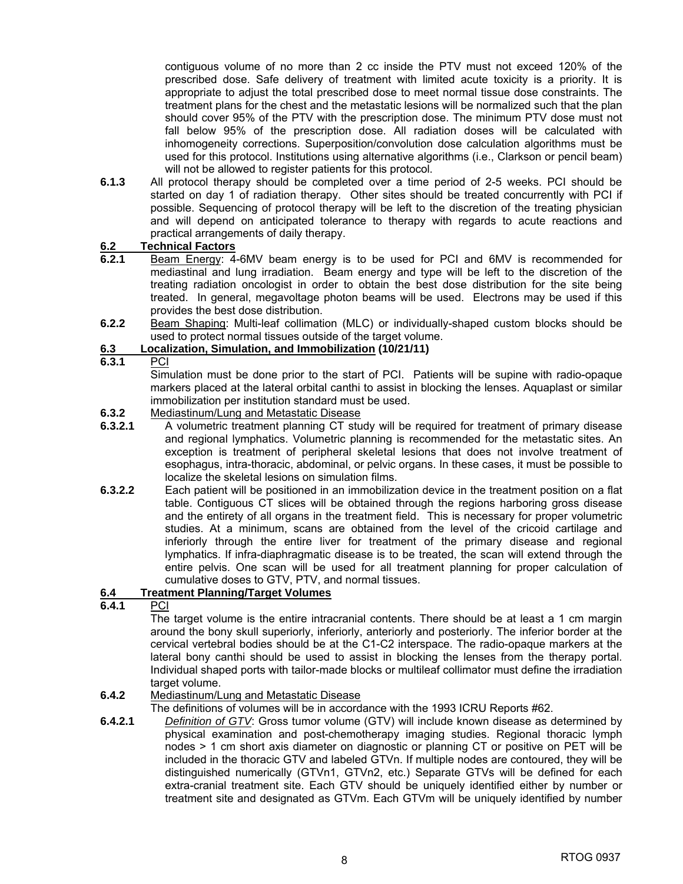contiguous volume of no more than 2 cc inside the PTV must not exceed 120% of the prescribed dose. Safe delivery of treatment with limited acute toxicity is a priority. It is appropriate to adjust the total prescribed dose to meet normal tissue dose constraints. The treatment plans for the chest and the metastatic lesions will be normalized such that the plan should cover 95% of the PTV with the prescription dose. The minimum PTV dose must not fall below 95% of the prescription dose. All radiation doses will be calculated with inhomogeneity corrections. Superposition/convolution dose calculation algorithms must be used for this protocol. Institutions using alternative algorithms (i.e., Clarkson or pencil beam) will not be allowed to register patients for this protocol.

**6.1.3** All protocol therapy should be completed over a time period of 2-5 weeks. PCI should be started on day 1 of radiation therapy. Other sites should be treated concurrently with PCI if possible. Sequencing of protocol therapy will be left to the discretion of the treating physician and will depend on anticipated tolerance to therapy with regards to acute reactions and practical arrangements of daily therapy.

#### **6.2 Technical Factors**

- **6.2.1** Beam Energy: 4-6MV beam energy is to be used for PCI and 6MV is recommended for mediastinal and lung irradiation. Beam energy and type will be left to the discretion of the treating radiation oncologist in order to obtain the best dose distribution for the site being treated. In general, megavoltage photon beams will be used. Electrons may be used if this provides the best dose distribution.
- **6.2.2** Beam Shaping: Multi-leaf collimation (MLC) or individually-shaped custom blocks should be used to protect normal tissues outside of the target volume.

#### **6.3 Localization, Simulation, and Immobilization (10/21/11)**

**6.3.1** PCI

Simulation must be done prior to the start of PCI. Patients will be supine with radio-opaque markers placed at the lateral orbital canthi to assist in blocking the lenses. Aquaplast or similar immobilization per institution standard must be used.

#### **6.3.2** Mediastinum/Lung and Metastatic Disease

- **6.3.2.1** A volumetric treatment planning CT study will be required for treatment of primary disease and regional lymphatics. Volumetric planning is recommended for the metastatic sites. An exception is treatment of peripheral skeletal lesions that does not involve treatment of esophagus, intra-thoracic, abdominal, or pelvic organs. In these cases, it must be possible to localize the skeletal lesions on simulation films.
- **6.3.2.2** Each patient will be positioned in an immobilization device in the treatment position on a flat table. Contiguous CT slices will be obtained through the regions harboring gross disease and the entirety of all organs in the treatment field. This is necessary for proper volumetric studies. At a minimum, scans are obtained from the level of the cricoid cartilage and inferiorly through the entire liver for treatment of the primary disease and regional lymphatics. If infra-diaphragmatic disease is to be treated, the scan will extend through the entire pelvis. One scan will be used for all treatment planning for proper calculation of cumulative doses to GTV, PTV, and normal tissues.

#### **6.4 Treatment Planning/Target Volumes**

**6.4.1** PCI

The target volume is the entire intracranial contents. There should be at least a 1 cm margin around the bony skull superiorly, inferiorly, anteriorly and posteriorly. The inferior border at the cervical vertebral bodies should be at the C1-C2 interspace. The radio-opaque markers at the lateral bony canthi should be used to assist in blocking the lenses from the therapy portal. Individual shaped ports with tailor-made blocks or multileaf collimator must define the irradiation target volume.

#### **6.4.2** Mediastinum/Lung and Metastatic Disease

The definitions of volumes will be in accordance with the 1993 ICRU Reports #62.

**6.4.2.1** *Definition of GTV*: Gross tumor volume (GTV) will include known disease as determined by physical examination and post-chemotherapy imaging studies. Regional thoracic lymph nodes > 1 cm short axis diameter on diagnostic or planning CT or positive on PET will be included in the thoracic GTV and labeled GTVn. If multiple nodes are contoured, they will be distinguished numerically (GTVn1, GTVn2, etc.) Separate GTVs will be defined for each extra-cranial treatment site. Each GTV should be uniquely identified either by number or treatment site and designated as GTVm. Each GTVm will be uniquely identified by number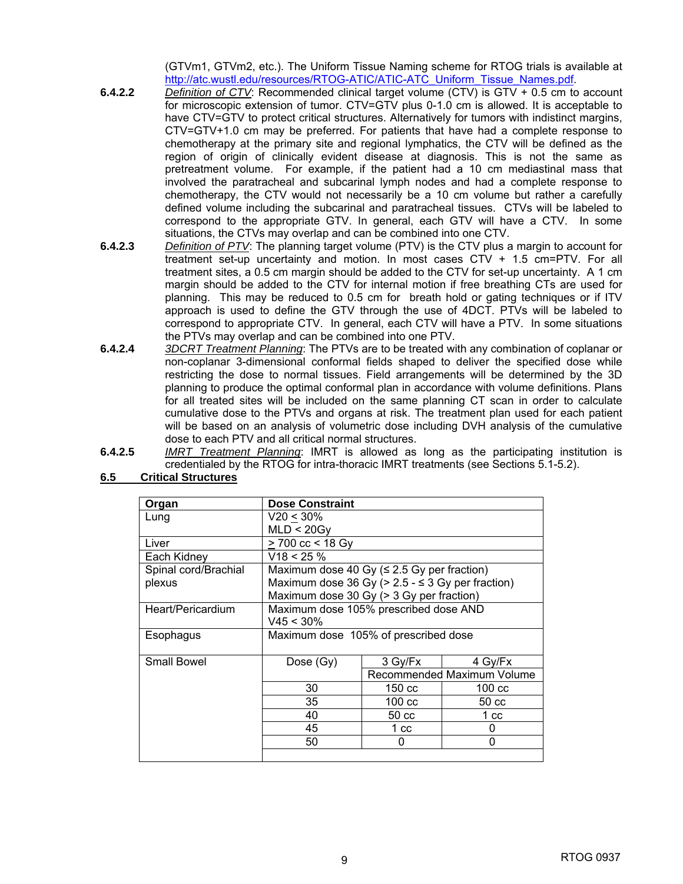(GTVm1, GTVm2, etc.). The Uniform Tissue Naming scheme for RTOG trials is available at http://atc.wustl.edu/resources/RTOG-ATIC/ATIC-ATC\_Uniform\_Tissue\_Names.pdf.

- **6.4.2.2** *Definition of CTV*: Recommended clinical target volume (CTV) is GTV + 0.5 cm to account for microscopic extension of tumor. CTV=GTV plus 0-1.0 cm is allowed. It is acceptable to have CTV=GTV to protect critical structures. Alternatively for tumors with indistinct margins, CTV=GTV+1.0 cm may be preferred. For patients that have had a complete response to chemotherapy at the primary site and regional lymphatics, the CTV will be defined as the region of origin of clinically evident disease at diagnosis. This is not the same as pretreatment volume. For example, if the patient had a 10 cm mediastinal mass that involved the paratracheal and subcarinal lymph nodes and had a complete response to chemotherapy, the CTV would not necessarily be a 10 cm volume but rather a carefully defined volume including the subcarinal and paratracheal tissues. CTVs will be labeled to correspond to the appropriate GTV. In general, each GTV will have a CTV. In some situations, the CTVs may overlap and can be combined into one CTV.
- **6.4.2.3** *Definition of PTV*: The planning target volume (PTV) is the CTV plus a margin to account for treatment set-up uncertainty and motion. In most cases CTV + 1.5 cm=PTV. For all treatment sites, a 0.5 cm margin should be added to the CTV for set-up uncertainty. A 1 cm margin should be added to the CTV for internal motion if free breathing CTs are used for planning. This may be reduced to 0.5 cm for breath hold or gating techniques or if ITV approach is used to define the GTV through the use of 4DCT. PTVs will be labeled to correspond to appropriate CTV. In general, each CTV will have a PTV. In some situations the PTVs may overlap and can be combined into one PTV.
- **6.4.2.4** *3DCRT Treatment Planning*: The PTVs are to be treated with any combination of coplanar or non-coplanar 3-dimensional conformal fields shaped to deliver the specified dose while restricting the dose to normal tissues. Field arrangements will be determined by the 3D planning to produce the optimal conformal plan in accordance with volume definitions. Plans for all treated sites will be included on the same planning CT scan in order to calculate cumulative dose to the PTVs and organs at risk. The treatment plan used for each patient will be based on an analysis of volumetric dose including DVH analysis of the cumulative dose to each PTV and all critical normal structures.
- **6.4.2.5** *IMRT Treatment Planning*: IMRT is allowed as long as the participating institution is credentialed by the RTOG for intra-thoracic IMRT treatments (see Sections 5.1-5.2).

| 6.5 | <b>Critical Structures</b> |
|-----|----------------------------|
|     |                            |

| Organ                | <b>Dose Constraint</b>                                |                  |                            |
|----------------------|-------------------------------------------------------|------------------|----------------------------|
| Lung                 | V20 < 30%                                             |                  |                            |
|                      | MLD < 20Gy                                            |                  |                            |
| Liver                | > 700 cc < 18 Gy                                      |                  |                            |
| Each Kidney          | $V18 < 25 \%$                                         |                  |                            |
| Spinal cord/Brachial | Maximum dose 40 Gy ( $\leq$ 2.5 Gy per fraction)      |                  |                            |
| plexus               | Maximum dose 36 Gy ( $> 2.5 - \le 3$ Gy per fraction) |                  |                            |
|                      | Maximum dose 30 Gy (> 3 Gy per fraction)              |                  |                            |
| Heart/Pericardium    | Maximum dose 105% prescribed dose AND                 |                  |                            |
|                      | $V45 < 30\%$                                          |                  |                            |
| Esophagus            | Maximum dose 105% of prescribed dose                  |                  |                            |
| Small Bowel          | Dose (Gy)                                             | 3 Gy/Fx          | 4 Gv/Fx                    |
|                      |                                                       |                  | Recommended Maximum Volume |
|                      | 30                                                    | 150 cc           | $100 \text{ cc}$           |
|                      | 35                                                    | $100 \text{ cc}$ | 50 cc                      |
|                      | 40                                                    | $50 \text{ cc}$  | 1 <sub>cc</sub>            |
|                      | 45                                                    | 1 cc             | 0                          |
|                      | 50                                                    | 0                | 0                          |
|                      |                                                       |                  |                            |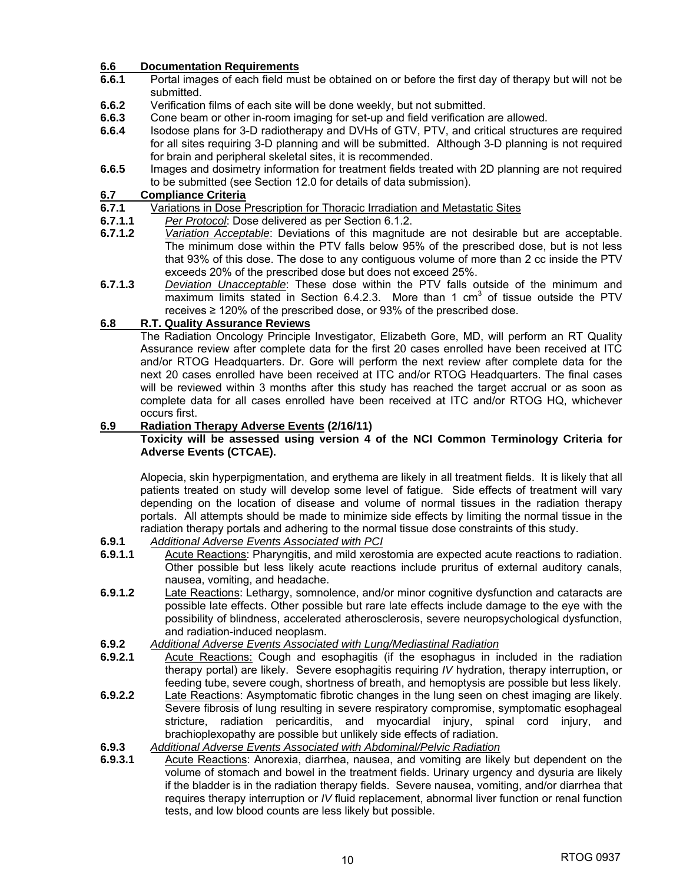#### **6.6 Documentation Requirements**

- **6.6.1** Portal images of each field must be obtained on or before the first day of therapy but will not be submitted.
- **6.6.2** Verification films of each site will be done weekly, but not submitted.
- **6.6.3** Cone beam or other in-room imaging for set-up and field verification are allowed.
- **6.6.4** Isodose plans for 3-D radiotherapy and DVHs of GTV, PTV, and critical structures are required for all sites requiring 3-D planning and will be submitted. Although 3-D planning is not required for brain and peripheral skeletal sites, it is recommended.
- **6.6.5** Images and dosimetry information for treatment fields treated with 2D planning are not required to be submitted (see Section 12.0 for details of data submission).

#### **6.7 Compliance Criteria**

- **6.7.1** Variations in Dose Prescription for Thoracic Irradiation and Metastatic Sites
- **6.7.1.1** *Per Protocol*: Dose delivered as per Section 6.1.2.
- **6.7.1.2** *Variation Acceptable*: Deviations of this magnitude are not desirable but are acceptable. The minimum dose within the PTV falls below 95% of the prescribed dose, but is not less that 93% of this dose. The dose to any contiguous volume of more than 2 cc inside the PTV exceeds 20% of the prescribed dose but does not exceed 25%.
- **6.7.1.3** *Deviation Unacceptable*: These dose within the PTV falls outside of the minimum and maximum limits stated in Section 6.4.2.3. More than 1  $cm<sup>3</sup>$  of tissue outside the PTV receives ≥ 120% of the prescribed dose, or 93% of the prescribed dose.

#### **6.8 R.T. Quality Assurance Reviews**

The Radiation Oncology Principle Investigator, Elizabeth Gore, MD, will perform an RT Quality Assurance review after complete data for the first 20 cases enrolled have been received at ITC and/or RTOG Headquarters. Dr. Gore will perform the next review after complete data for the next 20 cases enrolled have been received at ITC and/or RTOG Headquarters. The final cases will be reviewed within 3 months after this study has reached the target accrual or as soon as complete data for all cases enrolled have been received at ITC and/or RTOG HQ, whichever occurs first.

#### **6.9 Radiation Therapy Adverse Events (2/16/11)**

#### **Toxicity will be assessed using version 4 of the NCI Common Terminology Criteria for Adverse Events (CTCAE).**

 Alopecia, skin hyperpigmentation, and erythema are likely in all treatment fields. It is likely that all patients treated on study will develop some level of fatigue. Side effects of treatment will vary depending on the location of disease and volume of normal tissues in the radiation therapy portals. All attempts should be made to minimize side effects by limiting the normal tissue in the radiation therapy portals and adhering to the normal tissue dose constraints of this study.

- **6.9.1** *Additional Adverse Events Associated with PCI*
- **6.9.1.1** Acute Reactions: Pharyngitis, and mild xerostomia are expected acute reactions to radiation. Other possible but less likely acute reactions include pruritus of external auditory canals, nausea, vomiting, and headache.
- **6.9.1.2** Late Reactions: Lethargy, somnolence, and/or minor cognitive dysfunction and cataracts are possible late effects. Other possible but rare late effects include damage to the eye with the possibility of blindness, accelerated atherosclerosis, severe neuropsychological dysfunction, and radiation-induced neoplasm.
- **6.9.2** *Additional Adverse Events Associated with Lung/Mediastinal Radiation*
- **6.9.2.1** Acute Reactions: Cough and esophagitis (if the esophagus in included in the radiation therapy portal) are likely. Severe esophagitis requiring *IV* hydration, therapy interruption, or feeding tube, severe cough, shortness of breath, and hemoptysis are possible but less likely.
- **6.9.2.2** Late Reactions: Asymptomatic fibrotic changes in the lung seen on chest imaging are likely. Severe fibrosis of lung resulting in severe respiratory compromise, symptomatic esophageal stricture, radiation pericarditis, and myocardial injury, spinal cord injury, and brachioplexopathy are possible but unlikely side effects of radiation.
- **6.9.3** *Additional Adverse Events Associated with Abdominal/Pelvic Radiation*
- **6.9.3.1** Acute Reactions: Anorexia, diarrhea, nausea, and vomiting are likely but dependent on the volume of stomach and bowel in the treatment fields. Urinary urgency and dysuria are likely if the bladder is in the radiation therapy fields. Severe nausea, vomiting, and/or diarrhea that requires therapy interruption or *IV* fluid replacement, abnormal liver function or renal function tests, and low blood counts are less likely but possible.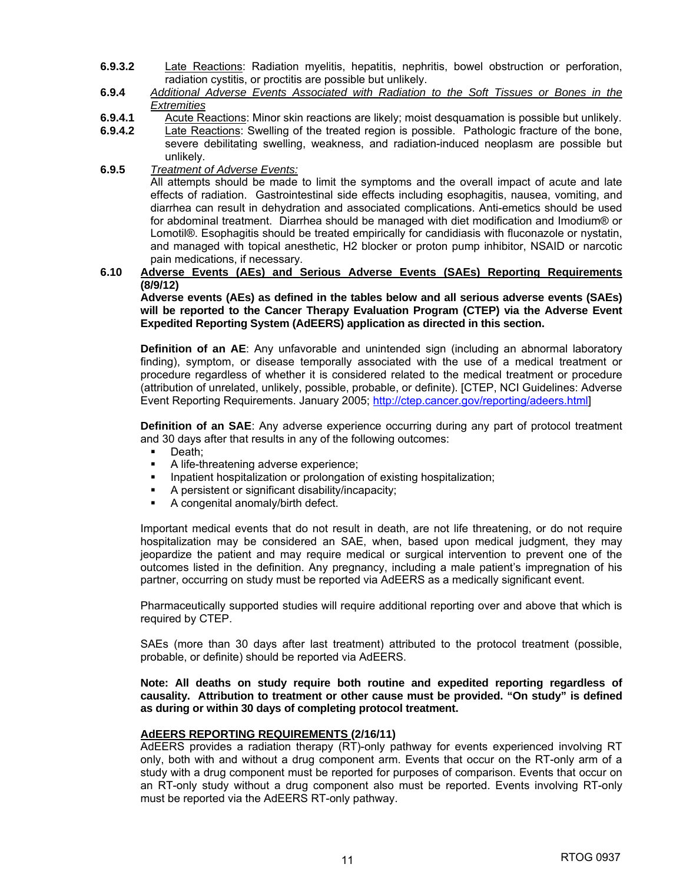- **6.9.3.2** Late Reactions: Radiation myelitis, hepatitis, nephritis, bowel obstruction or perforation, radiation cystitis, or proctitis are possible but unlikely.
- **6.9.4** *Additional Adverse Events Associated with Radiation to the Soft Tissues or Bones in the Extremities*
- **6.9.4.1** Acute Reactions: Minor skin reactions are likely; moist desquamation is possible but unlikely.
- **6.9.4.2** Late Reactions: Swelling of the treated region is possible. Pathologic fracture of the bone, severe debilitating swelling, weakness, and radiation-induced neoplasm are possible but unlikely.
- **6.9.5** *Treatment of Adverse Events:*

 All attempts should be made to limit the symptoms and the overall impact of acute and late effects of radiation. Gastrointestinal side effects including esophagitis, nausea, vomiting, and diarrhea can result in dehydration and associated complications. Anti-emetics should be used for abdominal treatment. Diarrhea should be managed with diet modification and Imodium® or Lomotil®. Esophagitis should be treated empirically for candidiasis with fluconazole or nystatin, and managed with topical anesthetic, H2 blocker or proton pump inhibitor, NSAID or narcotic pain medications, if necessary.

#### **6.10 Adverse Events (AEs) and Serious Adverse Events (SAEs) Reporting Requirements (8/9/12)**

**Adverse events (AEs) as defined in the tables below and all serious adverse events (SAEs) will be reported to the Cancer Therapy Evaluation Program (CTEP) via the Adverse Event Expedited Reporting System (AdEERS) application as directed in this section.** 

**Definition of an AE**: Any unfavorable and unintended sign (including an abnormal laboratory finding), symptom, or disease temporally associated with the use of a medical treatment or procedure regardless of whether it is considered related to the medical treatment or procedure (attribution of unrelated, unlikely, possible, probable, or definite). [CTEP, NCI Guidelines: Adverse Event Reporting Requirements. January 2005; http://ctep.cancer.gov/reporting/adeers.html]

**Definition of an SAE**: Any adverse experience occurring during any part of protocol treatment and 30 days after that results in any of the following outcomes:

- **Death**:
- A life-threatening adverse experience;
- Inpatient hospitalization or prolongation of existing hospitalization;
- A persistent or significant disability/incapacity;
- A congenital anomaly/birth defect.

 Important medical events that do not result in death, are not life threatening, or do not require hospitalization may be considered an SAE, when, based upon medical judgment, they may jeopardize the patient and may require medical or surgical intervention to prevent one of the outcomes listed in the definition. Any pregnancy, including a male patient's impregnation of his partner, occurring on study must be reported via AdEERS as a medically significant event.

 Pharmaceutically supported studies will require additional reporting over and above that which is required by CTEP.

 SAEs (more than 30 days after last treatment) attributed to the protocol treatment (possible, probable, or definite) should be reported via AdEERS.

**Note: All deaths on study require both routine and expedited reporting regardless of causality. Attribution to treatment or other cause must be provided. "On study" is defined as during or within 30 days of completing protocol treatment.** 

#### **AdEERS REPORTING REQUIREMENTS (2/16/11)**

 AdEERS provides a radiation therapy (RT)-only pathway for events experienced involving RT only, both with and without a drug component arm. Events that occur on the RT-only arm of a study with a drug component must be reported for purposes of comparison. Events that occur on an RT-only study without a drug component also must be reported. Events involving RT-only must be reported via the AdEERS RT-only pathway.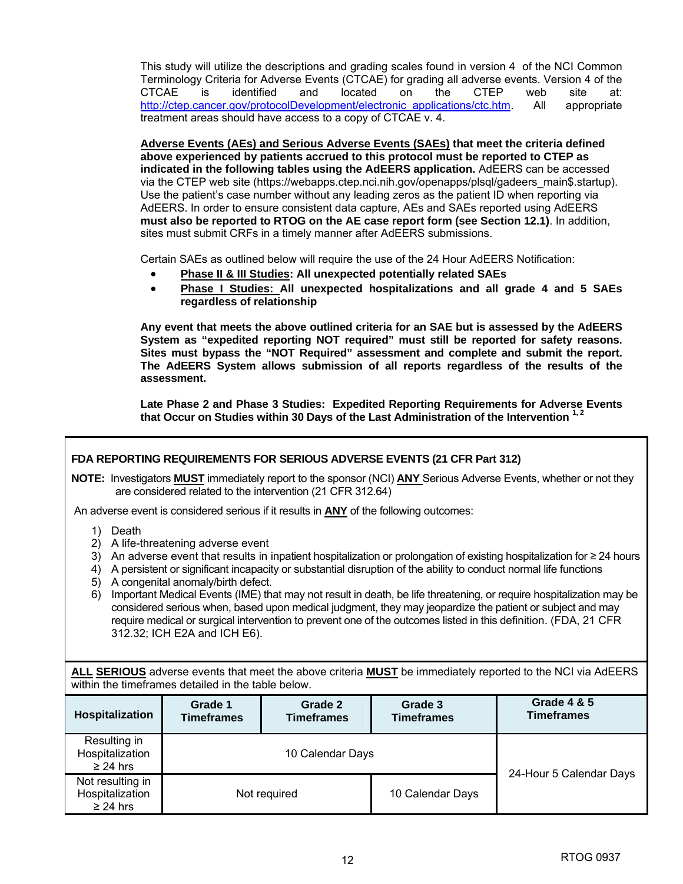This study will utilize the descriptions and grading scales found in version 4 of the NCI Common Terminology Criteria for Adverse Events (CTCAE) for grading all adverse events. Version 4 of the CTCAE is identified and located on the CTEP web site at: http://ctep.cancer.gov/protocolDevelopment/electronic\_applications/ctc.htm. All appropriate treatment areas should have access to a copy of CTCAE v. 4.

**Adverse Events (AEs) and Serious Adverse Events (SAEs) that meet the criteria defined above experienced by patients accrued to this protocol must be reported to CTEP as indicated in the following tables using the AdEERS application.** AdEERS can be accessed via the CTEP web site (https://webapps.ctep.nci.nih.gov/openapps/plsql/gadeers\_main\$.startup). Use the patient's case number without any leading zeros as the patient ID when reporting via AdEERS. In order to ensure consistent data capture, AEs and SAEs reported using AdEERS **must also be reported to RTOG on the AE case report form (see Section 12.1)**. In addition, sites must submit CRFs in a timely manner after AdEERS submissions.

Certain SAEs as outlined below will require the use of the 24 Hour AdEERS Notification:

- **Phase II & III Studies: All unexpected potentially related SAEs**
- **Phase I Studies: All unexpected hospitalizations and all grade 4 and 5 SAEs regardless of relationship**

**Any event that meets the above outlined criteria for an SAE but is assessed by the AdEERS System as "expedited reporting NOT required" must still be reported for safety reasons. Sites must bypass the "NOT Required" assessment and complete and submit the report. The AdEERS System allows submission of all reports regardless of the results of the assessment.** 

**Late Phase 2 and Phase 3 Studies: Expedited Reporting Requirements for Adverse Events**  that Occur on Studies within 30 Days of the Last Administration of the Intervention <sup>1, 2</sup>

|                                                      | FDA REPORTING REQUIREMENTS FOR SERIOUS ADVERSE EVENTS (21 CFR Part 312)                                                                                                                                                                                                                                                                                                                                                                                                                                                                                                                                                                                                                                                                                                                                         |                                                                                                                                                                                       |                              |                                             |  |  |
|------------------------------------------------------|-----------------------------------------------------------------------------------------------------------------------------------------------------------------------------------------------------------------------------------------------------------------------------------------------------------------------------------------------------------------------------------------------------------------------------------------------------------------------------------------------------------------------------------------------------------------------------------------------------------------------------------------------------------------------------------------------------------------------------------------------------------------------------------------------------------------|---------------------------------------------------------------------------------------------------------------------------------------------------------------------------------------|------------------------------|---------------------------------------------|--|--|
|                                                      |                                                                                                                                                                                                                                                                                                                                                                                                                                                                                                                                                                                                                                                                                                                                                                                                                 | NOTE: Investigators <b>MUST</b> immediately report to the sponsor (NCI) ANY Serious Adverse Events, whether or not they<br>are considered related to the intervention (21 CFR 312.64) |                              |                                             |  |  |
|                                                      |                                                                                                                                                                                                                                                                                                                                                                                                                                                                                                                                                                                                                                                                                                                                                                                                                 |                                                                                                                                                                                       |                              |                                             |  |  |
| 1)<br>Death<br>2)<br>3)<br>4)<br>5)<br>6)            | An adverse event is considered serious if it results in <b>ANY</b> of the following outcomes:<br>A life-threatening adverse event<br>An adverse event that results in inpatient hospitalization or prolongation of existing hospitalization for $\geq$ 24 hours<br>A persistent or significant incapacity or substantial disruption of the ability to conduct normal life functions<br>A congenital anomaly/birth defect.<br>Important Medical Events (IME) that may not result in death, be life threatening, or require hospitalization may be<br>considered serious when, based upon medical judgment, they may jeopardize the patient or subject and may<br>require medical or surgical intervention to prevent one of the outcomes listed in this definition. (FDA, 21 CFR<br>312.32; ICH E2A and ICH E6). |                                                                                                                                                                                       |                              |                                             |  |  |
|                                                      | ALL SERIOUS adverse events that meet the above criteria <b>MUST</b> be immediately reported to the NCI via AdEERS<br>within the timeframes detailed in the table below.                                                                                                                                                                                                                                                                                                                                                                                                                                                                                                                                                                                                                                         |                                                                                                                                                                                       |                              |                                             |  |  |
| Hospitalization                                      | Grade 1<br><b>Timeframes</b>                                                                                                                                                                                                                                                                                                                                                                                                                                                                                                                                                                                                                                                                                                                                                                                    | Grade 2<br><b>Timeframes</b>                                                                                                                                                          | Grade 3<br><b>Timeframes</b> | <b>Grade 4 &amp; 5</b><br><b>Timeframes</b> |  |  |
| Resulting in<br>Hospitalization<br>$\geq$ 24 hrs     |                                                                                                                                                                                                                                                                                                                                                                                                                                                                                                                                                                                                                                                                                                                                                                                                                 | 10 Calendar Days<br>24-Hour 5 Calendar Days                                                                                                                                           |                              |                                             |  |  |
| Not resulting in<br>Hospitalization<br>$\geq$ 24 hrs |                                                                                                                                                                                                                                                                                                                                                                                                                                                                                                                                                                                                                                                                                                                                                                                                                 | Not required                                                                                                                                                                          | 10 Calendar Days             |                                             |  |  |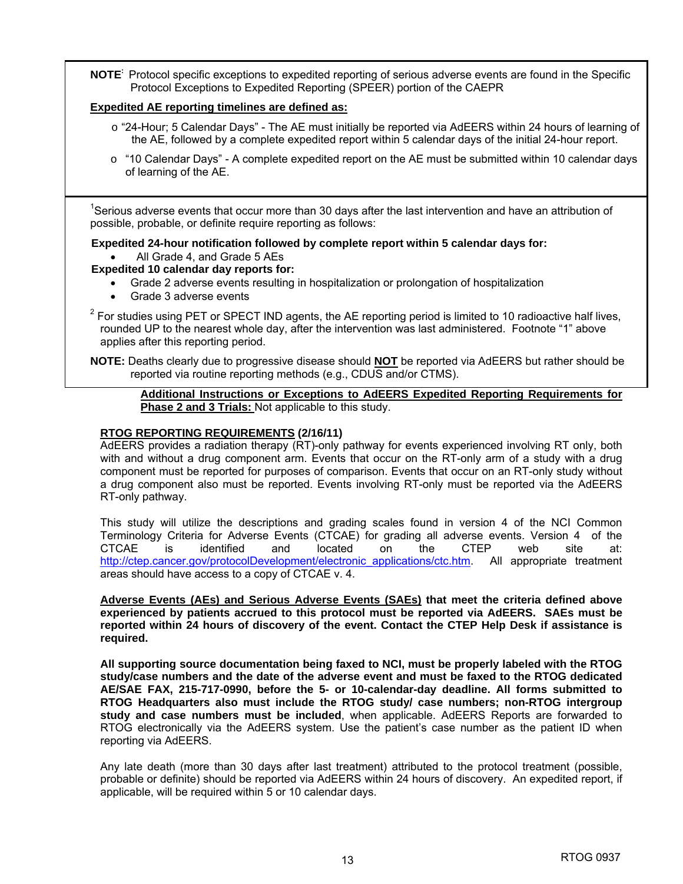**NOTE:** Protocol specific exceptions to expedited reporting of serious adverse events are found in the Specific Protocol Exceptions to Expedited Reporting (SPEER) portion of the CAEPR

#### **Expedited AE reporting timelines are defined as:**

- o "24-Hour; 5 Calendar Days" The AE must initially be reported via AdEERS within 24 hours of learning of the AE, followed by a complete expedited report within 5 calendar days of the initial 24-hour report.
- o "10 Calendar Days" A complete expedited report on the AE must be submitted within 10 calendar days of learning of the AE.

<sup>1</sup>Serious adverse events that occur more than 30 days after the last intervention and have an attribution of possible, probable, or definite require reporting as follows:

#### **Expedited 24-hour notification followed by complete report within 5 calendar days for:**  All Grade 4, and Grade 5 AEs

#### **Expedited 10 calendar day reports for:**

- Grade 2 adverse events resulting in hospitalization or prolongation of hospitalization
- Grade 3 adverse events
- $2$  For studies using PET or SPECT IND agents, the AE reporting period is limited to 10 radioactive half lives, rounded UP to the nearest whole day, after the intervention was last administered. Footnote "1" above applies after this reporting period.

**NOTE:** Deaths clearly due to progressive disease should **NOT** be reported via AdEERS but rather should be reported via routine reporting methods (e.g., CDUS and/or CTMS).

#### **Additional Instructions or Exceptions to AdEERS Expedited Reporting Requirements for Phase 2 and 3 Trials:** Not applicable to this study.

#### **RTOG REPORTING REQUIREMENTS (2/16/11)**

AdEERS provides a radiation therapy (RT)-only pathway for events experienced involving RT only, both with and without a drug component arm. Events that occur on the RT-only arm of a study with a drug component must be reported for purposes of comparison. Events that occur on an RT-only study without a drug component also must be reported. Events involving RT-only must be reported via the AdEERS RT-only pathway.

This study will utilize the descriptions and grading scales found in version 4 of the NCI Common Terminology Criteria for Adverse Events (CTCAE) for grading all adverse events. Version 4 of the CTCAE is identified and located on the CTEP web site at: http://ctep.cancer.gov/protocolDevelopment/electronic\_applications/ctc.htm. All appropriate treatment areas should have access to a copy of CTCAE v. 4.

**Adverse Events (AEs) and Serious Adverse Events (SAEs) that meet the criteria defined above experienced by patients accrued to this protocol must be reported via AdEERS. SAEs must be reported within 24 hours of discovery of the event. Contact the CTEP Help Desk if assistance is required.** 

**All supporting source documentation being faxed to NCI, must be properly labeled with the RTOG study/case numbers and the date of the adverse event and must be faxed to the RTOG dedicated AE/SAE FAX, 215-717-0990, before the 5- or 10-calendar-day deadline. All forms submitted to RTOG Headquarters also must include the RTOG study/ case numbers; non-RTOG intergroup study and case numbers must be included**, when applicable. AdEERS Reports are forwarded to RTOG electronically via the AdEERS system. Use the patient's case number as the patient ID when reporting via AdEERS.

Any late death (more than 30 days after last treatment) attributed to the protocol treatment (possible, probable or definite) should be reported via AdEERS within 24 hours of discovery. An expedited report, if applicable, will be required within 5 or 10 calendar days.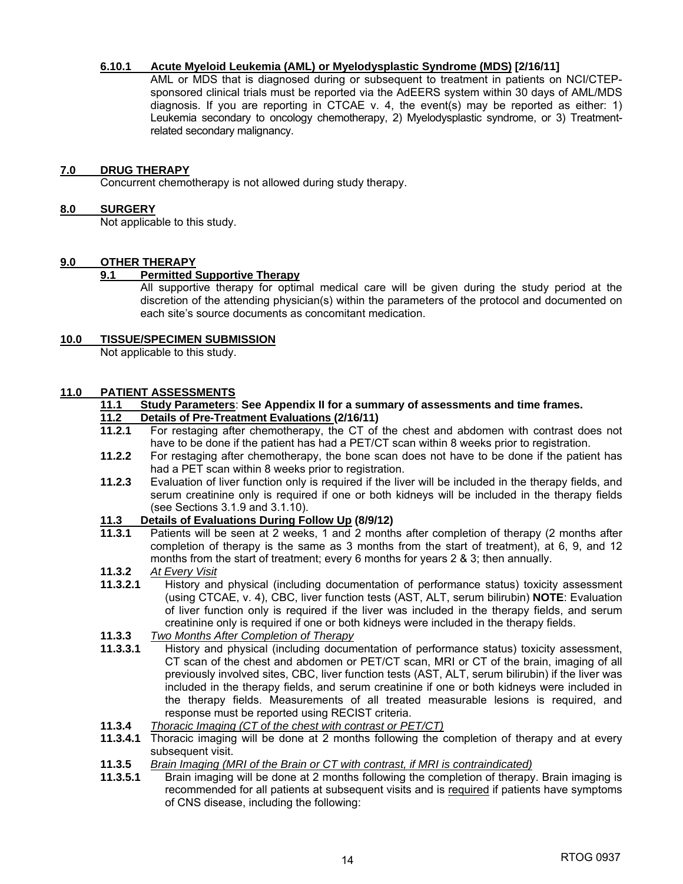#### **6.10.1 Acute Myeloid Leukemia (AML) or Myelodysplastic Syndrome (MDS) [2/16/11]**

 AML or MDS that is diagnosed during or subsequent to treatment in patients on NCI/CTEPsponsored clinical trials must be reported via the AdEERS system within 30 days of AML/MDS diagnosis. If you are reporting in CTCAE v. 4, the event(s) may be reported as either: 1) Leukemia secondary to oncology chemotherapy, 2) Myelodysplastic syndrome, or 3) Treatmentrelated secondary malignancy.

#### **7.0 DRUG THERAPY**

Concurrent chemotherapy is not allowed during study therapy.

#### **8.0 SURGERY**

Not applicable to this study.

#### **9.0 OTHER THERAPY**

#### **9.1 Permitted Supportive Therapy**

 All supportive therapy for optimal medical care will be given during the study period at the discretion of the attending physician(s) within the parameters of the protocol and documented on each site's source documents as concomitant medication.

#### **10.0 TISSUE/SPECIMEN SUBMISSION**

Not applicable to this study.

#### **11.0 PATIENT ASSESSMENTS**

#### **11.1 Study Parameters**: **See Appendix II for a summary of assessments and time frames.**

## **11.2 Details of Pre-Treatment Evaluations (2/16/11)**

- For restaging after chemotherapy, the CT of the chest and abdomen with contrast does not have to be done if the patient has had a PET/CT scan within 8 weeks prior to registration.
- **11.2.2** For restaging after chemotherapy, the bone scan does not have to be done if the patient has had a PET scan within 8 weeks prior to registration.
- **11.2.3** Evaluation of liver function only is required if the liver will be included in the therapy fields, and serum creatinine only is required if one or both kidneys will be included in the therapy fields (see Sections 3.1.9 and 3.1.10).

#### **11.3 Details of Evaluations During Follow Up (8/9/12)**

- **11.3.1** Patients will be seen at 2 weeks, 1 and 2 months after completion of therapy (2 months after completion of therapy is the same as 3 months from the start of treatment), at 6, 9, and 12 months from the start of treatment; every 6 months for years 2 & 3; then annually.
- **11.3.2** *At Every Visit*
- **11.3.2.1** History and physical (including documentation of performance status) toxicity assessment (using CTCAE, v. 4), CBC, liver function tests (AST, ALT, serum bilirubin) **NOTE**: Evaluation of liver function only is required if the liver was included in the therapy fields, and serum creatinine only is required if one or both kidneys were included in the therapy fields.
- **11.3.3** *Two Months After Completion of Therapy*
- **11.3.3.1** History and physical (including documentation of performance status) toxicity assessment, CT scan of the chest and abdomen or PET/CT scan, MRI or CT of the brain, imaging of all previously involved sites, CBC, liver function tests (AST, ALT, serum bilirubin) if the liver was included in the therapy fields, and serum creatinine if one or both kidneys were included in the therapy fields. Measurements of all treated measurable lesions is required, and response must be reported using RECIST criteria.
- **11.3.4** *Thoracic Imaging (CT of the chest with contrast or PET/CT)*
- **11.3.4.1** Thoracic imaging will be done at 2 months following the completion of therapy and at every subsequent visit.
- **11.3.5** *Brain Imaging (MRI of the Brain or CT with contrast, if MRI is contraindicated)*
- **11.3.5.1** Brain imaging will be done at 2 months following the completion of therapy. Brain imaging is recommended for all patients at subsequent visits and is required if patients have symptoms of CNS disease, including the following: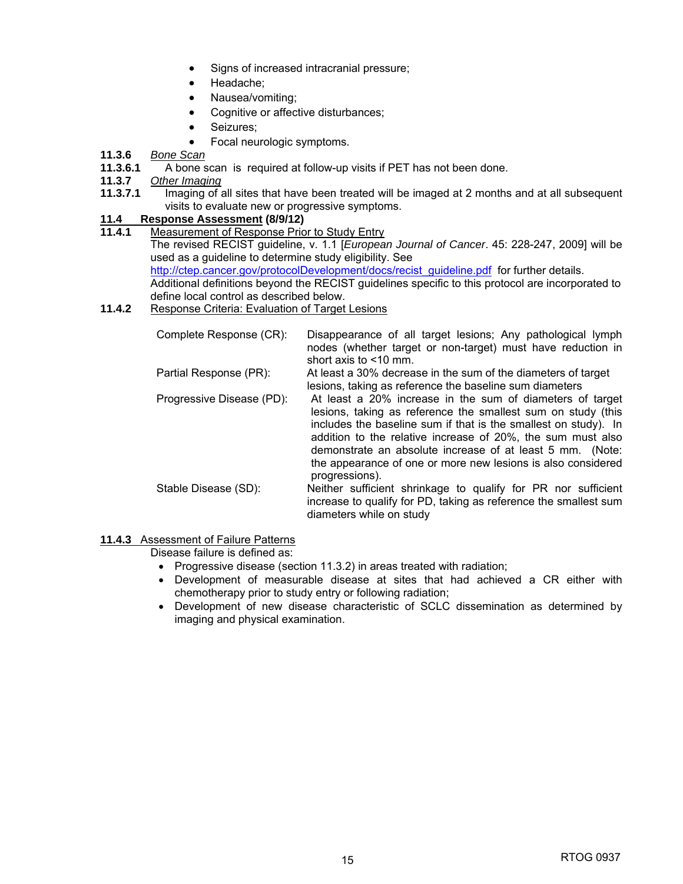- Signs of increased intracranial pressure;
- Headache:
- Nausea/vomiting;
- Cognitive or affective disturbances;
- Seizures;
- Focal neurologic symptoms.
- **11.3.6** *Bone Scan*
- **11.3.6.1** A bone scan is required at follow-up visits if PET has not been done.
- **11.3.7** *Other Imaging*
- **11.3.7.1** Imaging of all sites that have been treated will be imaged at 2 months and at all subsequent visits to evaluate new or progressive symptoms.

#### **11.4 Response Assessment (8/9/12)**

- **11.4.1** Measurement of Response Prior to Study Entry The revised RECIST guideline, v. 1.1 [*European Journal of Cancer*. 45: 228-247, 2009] will be used as a guideline to determine study eligibility. See http://ctep.cancer.gov/protocolDevelopment/docs/recist\_guideline.pdf for further details. Additional definitions beyond the RECIST guidelines specific to this protocol are incorporated to define local control as described below.
- **11.4.2** Response Criteria: Evaluation of Target Lesions

| Complete Response (CR):   | Disappearance of all target lesions; Any pathological lymph<br>nodes (whether target or non-target) must have reduction in<br>short axis to $\leq 10$ mm.                                                                                                                                                                                                                                                  |
|---------------------------|------------------------------------------------------------------------------------------------------------------------------------------------------------------------------------------------------------------------------------------------------------------------------------------------------------------------------------------------------------------------------------------------------------|
| Partial Response (PR):    | At least a 30% decrease in the sum of the diameters of target<br>lesions, taking as reference the baseline sum diameters                                                                                                                                                                                                                                                                                   |
| Progressive Disease (PD): | At least a 20% increase in the sum of diameters of target<br>lesions, taking as reference the smallest sum on study (this<br>includes the baseline sum if that is the smallest on study). In<br>addition to the relative increase of 20%, the sum must also<br>demonstrate an absolute increase of at least 5 mm. (Note:<br>the appearance of one or more new lesions is also considered<br>progressions). |
| Stable Disease (SD):      | Neither sufficient shrinkage to qualify for PR nor sufficient<br>increase to qualify for PD, taking as reference the smallest sum<br>diameters while on study                                                                                                                                                                                                                                              |

#### **11.4.3** Assessment of Failure Patterns

Disease failure is defined as:

- Progressive disease (section 11.3.2) in areas treated with radiation;
- Development of measurable disease at sites that had achieved a CR either with chemotherapy prior to study entry or following radiation;
- Development of new disease characteristic of SCLC dissemination as determined by imaging and physical examination.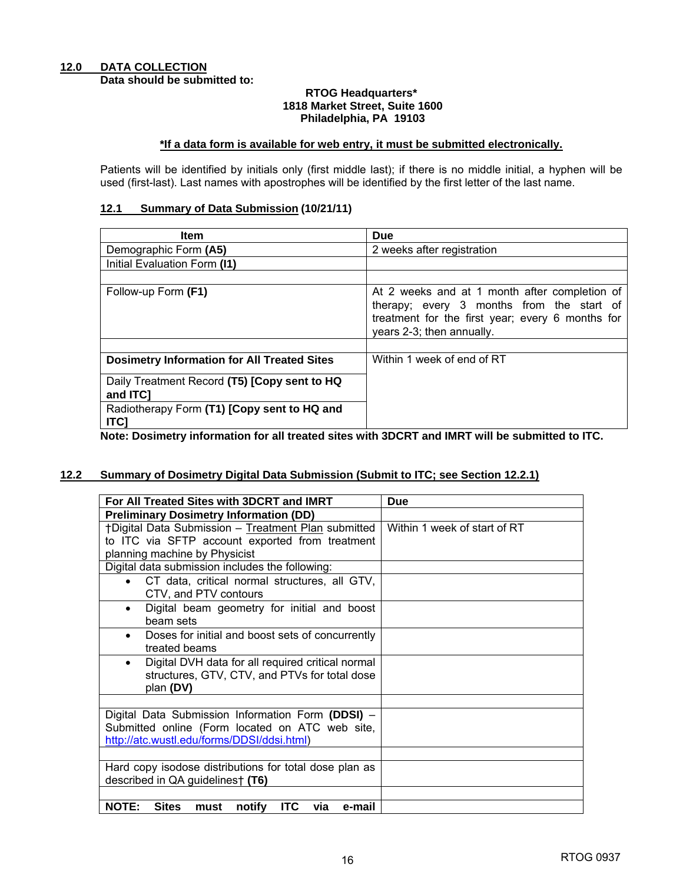#### **RTOG Headquarters\* 1818 Market Street, Suite 1600 Philadelphia, PA 19103**

#### **\*If a data form is available for web entry, it must be submitted electronically.**

Patients will be identified by initials only (first middle last); if there is no middle initial, a hyphen will be used (first-last). Last names with apostrophes will be identified by the first letter of the last name.

#### **12.1 Summary of Data Submission (10/21/11)**

| <b>Item</b>                                                | <b>Due</b>                                                                                                                                                                  |
|------------------------------------------------------------|-----------------------------------------------------------------------------------------------------------------------------------------------------------------------------|
| Demographic Form (A5)                                      | 2 weeks after registration                                                                                                                                                  |
| Initial Evaluation Form (I1)                               |                                                                                                                                                                             |
|                                                            |                                                                                                                                                                             |
| Follow-up Form (F1)                                        | At 2 weeks and at 1 month after completion of<br>therapy; every 3 months from the start of<br>treatment for the first year; every 6 months for<br>years 2-3; then annually. |
| <b>Dosimetry Information for All Treated Sites</b>         | Within 1 week of end of RT                                                                                                                                                  |
| Daily Treatment Record (T5) [Copy sent to HQ<br>and ITC1   |                                                                                                                                                                             |
| Radiotherapy Form (T1) [Copy sent to HQ and<br><b>ITCI</b> |                                                                                                                                                                             |

**Note: Dosimetry information for all treated sites with 3DCRT and IMRT will be submitted to ITC.** 

#### **12.2 Summary of Dosimetry Digital Data Submission (Submit to ITC; see Section 12.2.1)**

| For All Treated Sites with 3DCRT and IMRT                                     | Due                          |
|-------------------------------------------------------------------------------|------------------------------|
| <b>Preliminary Dosimetry Information (DD)</b>                                 |                              |
| †Digital Data Submission - Treatment Plan submitted                           | Within 1 week of start of RT |
| to ITC via SFTP account exported from treatment                               |                              |
| planning machine by Physicist                                                 |                              |
| Digital data submission includes the following:                               |                              |
| CT data, critical normal structures, all GTV,                                 |                              |
| CTV, and PTV contours                                                         |                              |
| Digital beam geometry for initial and boost<br>$\bullet$                      |                              |
| beam sets                                                                     |                              |
| Doses for initial and boost sets of concurrently<br>$\bullet$                 |                              |
| treated beams                                                                 |                              |
| Digital DVH data for all required critical normal<br>$\bullet$                |                              |
| structures, GTV, CTV, and PTVs for total dose                                 |                              |
| plan (DV)                                                                     |                              |
|                                                                               |                              |
| Digital Data Submission Information Form (DDSI) -                             |                              |
| Submitted online (Form located on ATC web site,                               |                              |
| http://atc.wustl.edu/forms/DDSI/ddsi.html)                                    |                              |
|                                                                               |                              |
| Hard copy isodose distributions for total dose plan as                        |                              |
| described in QA guidelines† (T6)                                              |                              |
|                                                                               |                              |
| <b>Sites</b><br><b>ITC</b><br><b>NOTE:</b><br>notify<br>via<br>e-mail<br>must |                              |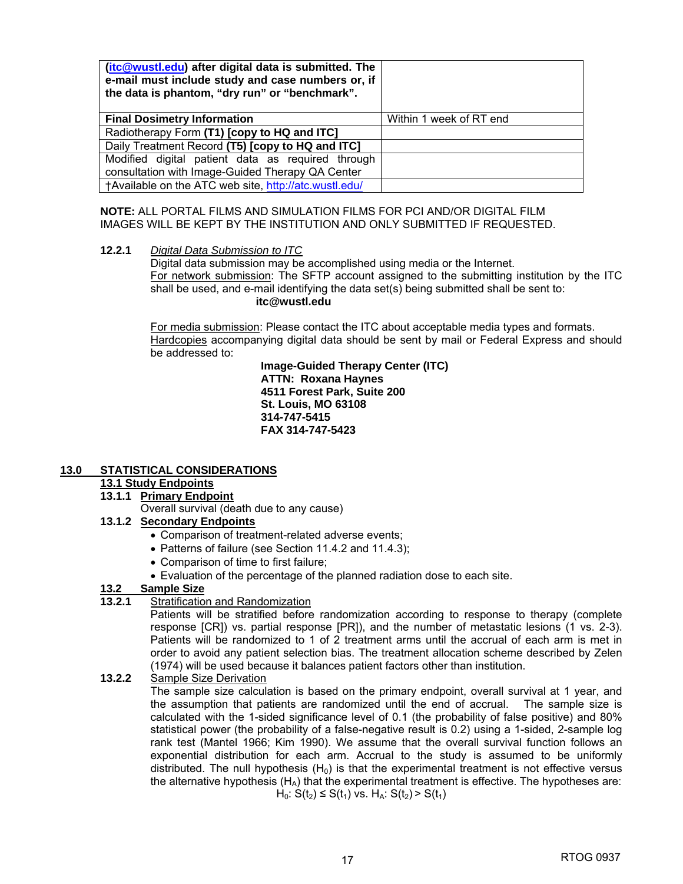| (itc@wustl.edu) after digital data is submitted. The<br>e-mail must include study and case numbers or, if<br>the data is phantom, "dry run" or "benchmark". |                         |
|-------------------------------------------------------------------------------------------------------------------------------------------------------------|-------------------------|
| <b>Final Dosimetry Information</b>                                                                                                                          | Within 1 week of RT end |
| Radiotherapy Form (T1) [copy to HQ and ITC]                                                                                                                 |                         |
| Daily Treatment Record (T5) [copy to HQ and ITC]                                                                                                            |                         |
| Modified digital patient data as required through                                                                                                           |                         |
| consultation with Image-Guided Therapy QA Center                                                                                                            |                         |
| †Available on the ATC web site, http://atc.wustl.edu/                                                                                                       |                         |

**NOTE:** ALL PORTAL FILMS AND SIMULATION FILMS FOR PCI AND/OR DIGITAL FILM IMAGES WILL BE KEPT BY THE INSTITUTION AND ONLY SUBMITTED IF REQUESTED.

#### **12.2.1** *Digital Data Submission to ITC*

Digital data submission may be accomplished using media or the Internet. For network submission: The SFTP account assigned to the submitting institution by the ITC shall be used, and e-mail identifying the data set(s) being submitted shall be sent to: **itc@wustl.edu** 

For media submission: Please contact the ITC about acceptable media types and formats. Hardcopies accompanying digital data should be sent by mail or Federal Express and should be addressed to:

> **Image-Guided Therapy Center (ITC) ATTN: Roxana Haynes 4511 Forest Park, Suite 200 St. Louis, MO 63108 314-747-5415 FAX 314-747-5423**

#### **13.0 STATISTICAL CONSIDERATIONS**

#### **13.1 Study Endpoints**

 **13.1.1 Primary Endpoint**

Overall survival (death due to any cause)

#### **13.1.2 Secondary Endpoints**

- Comparison of treatment-related adverse events;
- Patterns of failure (see Section 11.4.2 and 11.4.3):
- Comparison of time to first failure;
- Evaluation of the percentage of the planned radiation dose to each site.

#### **13.2 Sample Size**

**13.2.1** Stratification and Randomization

Patients will be stratified before randomization according to response to therapy (complete response [CR]) vs. partial response [PR]), and the number of metastatic lesions (1 vs. 2-3). Patients will be randomized to 1 of 2 treatment arms until the accrual of each arm is met in order to avoid any patient selection bias. The treatment allocation scheme described by Zelen (1974) will be used because it balances patient factors other than institution.

**13.2.2** Sample Size Derivation

The sample size calculation is based on the primary endpoint, overall survival at 1 year, and the assumption that patients are randomized until the end of accrual. The sample size is calculated with the 1-sided significance level of 0.1 (the probability of false positive) and 80% statistical power (the probability of a false-negative result is 0.2) using a 1-sided, 2-sample log rank test (Mantel 1966; Kim 1990). We assume that the overall survival function follows an exponential distribution for each arm. Accrual to the study is assumed to be uniformly distributed. The null hypothesis  $(H_0)$  is that the experimental treatment is not effective versus the alternative hypothesis  $(H_A)$  that the experimental treatment is effective. The hypotheses are:  $H_0$ :  $S(t_2) \leq S(t_1)$  vs.  $H_A$ :  $S(t_2) > S(t_1)$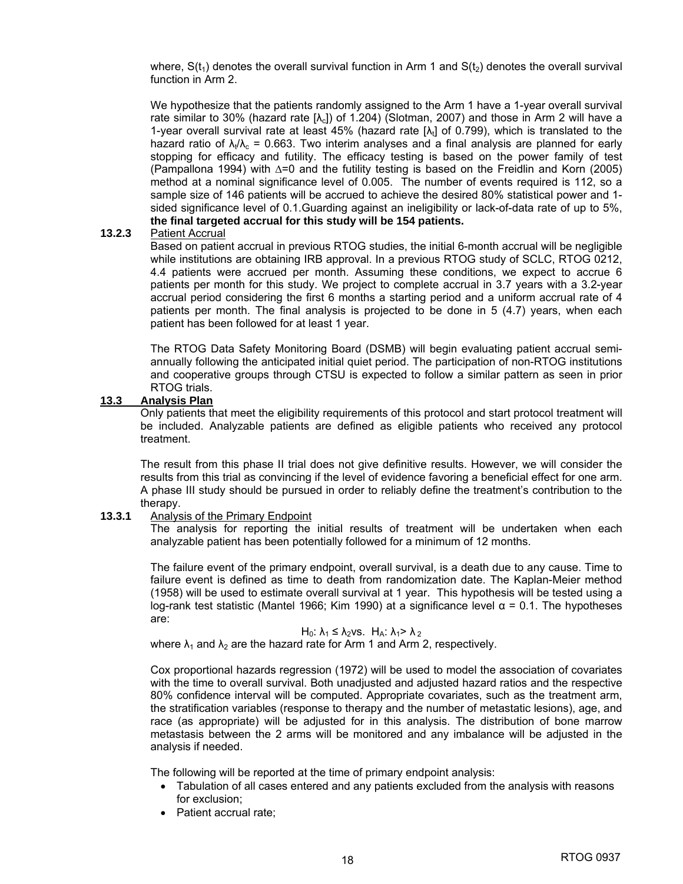where,  $S(t_1)$  denotes the overall survival function in Arm 1 and  $S(t_2)$  denotes the overall survival function in Arm 2.

We hypothesize that the patients randomly assigned to the Arm 1 have a 1-year overall survival rate similar to 30% (hazard rate  $[\lambda_c]$ ) of 1.204) (Slotman, 2007) and those in Arm 2 will have a 1-year overall survival rate at least 45% (hazard rate  $[\lambda_t]$  of 0.799), which is translated to the hazard ratio of  $\lambda_i/\lambda_c = 0.663$ . Two interim analyses and a final analysis are planned for early stopping for efficacy and futility. The efficacy testing is based on the power family of test (Pampallona 1994) with ∆=0 and the futility testing is based on the Freidlin and Korn (2005) method at a nominal significance level of 0.005. The number of events required is 112, so a sample size of 146 patients will be accrued to achieve the desired 80% statistical power and 1 sided significance level of 0.1.Guarding against an ineligibility or lack-of-data rate of up to 5%, **the final targeted accrual for this study will be 154 patients.** 

#### **13.2.3** Patient Accrual

 Based on patient accrual in previous RTOG studies, the initial 6-month accrual will be negligible while institutions are obtaining IRB approval. In a previous RTOG study of SCLC, RTOG 0212, 4.4 patients were accrued per month. Assuming these conditions, we expect to accrue 6 patients per month for this study. We project to complete accrual in 3.7 years with a 3.2-year accrual period considering the first 6 months a starting period and a uniform accrual rate of 4 patients per month. The final analysis is projected to be done in 5 (4.7) years, when each patient has been followed for at least 1 year.

The RTOG Data Safety Monitoring Board (DSMB) will begin evaluating patient accrual semiannually following the anticipated initial quiet period. The participation of non-RTOG institutions and cooperative groups through CTSU is expected to follow a similar pattern as seen in prior RTOG trials.

#### **13.3 Analysis Plan**

Only patients that meet the eligibility requirements of this protocol and start protocol treatment will be included. Analyzable patients are defined as eligible patients who received any protocol treatment.

 The result from this phase II trial does not give definitive results. However, we will consider the results from this trial as convincing if the level of evidence favoring a beneficial effect for one arm. A phase III study should be pursued in order to reliably define the treatment's contribution to the therapy.

#### **13.3.1** Analysis of the Primary Endpoint

The analysis for reporting the initial results of treatment will be undertaken when each analyzable patient has been potentially followed for a minimum of 12 months.

 The failure event of the primary endpoint, overall survival, is a death due to any cause. Time to failure event is defined as time to death from randomization date. The Kaplan-Meier method (1958) will be used to estimate overall survival at 1 year. This hypothesis will be tested using a log-rank test statistic (Mantel 1966; Kim 1990) at a significance level α = 0.1. The hypotheses are:

#### $H_0$ :  $\lambda_1 \leq \lambda_2$ vs.  $H_A$ :  $\lambda_1 > \lambda_2$

where  $\lambda_1$  and  $\lambda_2$  are the hazard rate for Arm 1 and Arm 2, respectively.

Cox proportional hazards regression (1972) will be used to model the association of covariates with the time to overall survival. Both unadjusted and adjusted hazard ratios and the respective 80% confidence interval will be computed. Appropriate covariates, such as the treatment arm, the stratification variables (response to therapy and the number of metastatic lesions), age, and race (as appropriate) will be adjusted for in this analysis. The distribution of bone marrow metastasis between the 2 arms will be monitored and any imbalance will be adjusted in the analysis if needed.

The following will be reported at the time of primary endpoint analysis:

- Tabulation of all cases entered and any patients excluded from the analysis with reasons for exclusion;
- Patient accrual rate: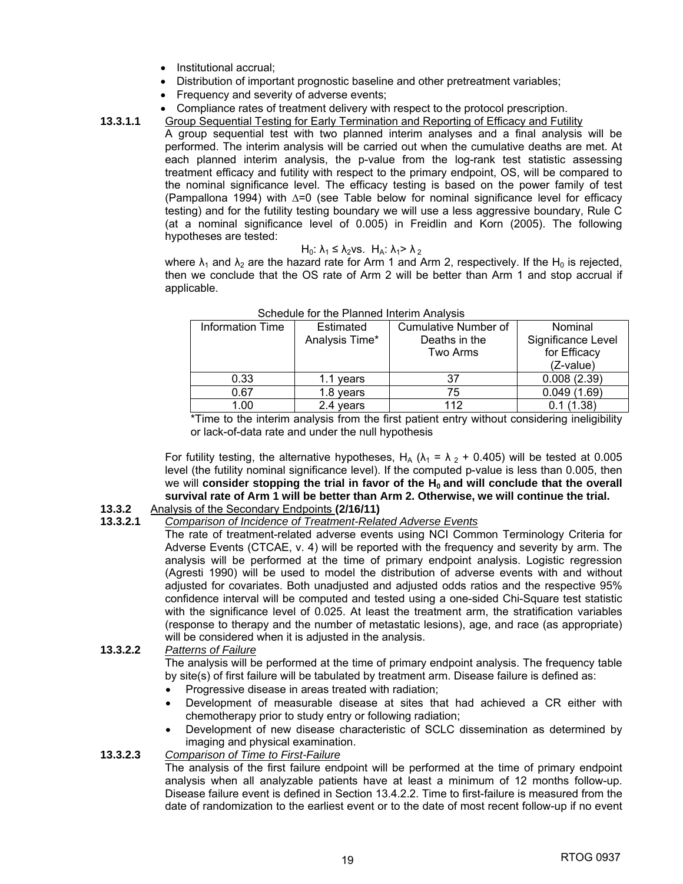- Institutional accrual;
- Distribution of important prognostic baseline and other pretreatment variables;
- Frequency and severity of adverse events;
- Compliance rates of treatment delivery with respect to the protocol prescription.
- **13.3.1.1** Group Sequential Testing for Early Termination and Reporting of Efficacy and Futility

 A group sequential test with two planned interim analyses and a final analysis will be performed. The interim analysis will be carried out when the cumulative deaths are met. At each planned interim analysis, the p-value from the log-rank test statistic assessing treatment efficacy and futility with respect to the primary endpoint, OS, will be compared to the nominal significance level. The efficacy testing is based on the power family of test (Pampallona 1994) with ∆=0 (see Table below for nominal significance level for efficacy testing) and for the futility testing boundary we will use a less aggressive boundary, Rule C (at a nominal significance level of 0.005) in Freidlin and Korn (2005). The following hypotheses are tested:

$$
H_0: \lambda_1 \leq \lambda_2 \vee s
$$
.  $H_A: \lambda_1 > \lambda_2$ 

where  $\lambda_1$  and  $\lambda_2$  are the hazard rate for Arm 1 and Arm 2, respectively. If the H<sub>0</sub> is rejected, then we conclude that the OS rate of Arm 2 will be better than Arm 1 and stop accrual if applicable.

| <u> Conoucho ion ino i turnou into inn / inurvolo</u> |                |                      |                    |  |  |
|-------------------------------------------------------|----------------|----------------------|--------------------|--|--|
| Information Time                                      | Estimated      | Cumulative Number of | Nominal            |  |  |
|                                                       | Analysis Time* | Deaths in the        | Significance Level |  |  |
|                                                       |                | Two Arms             | for Efficacy       |  |  |
|                                                       |                |                      | (Z-value)          |  |  |
| 0.33                                                  | 1.1 years      | 37                   | 0.008(2.39)        |  |  |
| 0.67                                                  | 1.8 years      | 75                   | 0.049(1.69)        |  |  |
| 1.00                                                  | 2.4 years      | 112                  | 0.1(1.38)          |  |  |

#### Schedule for the Planned Interim Analysis

\*Time to the interim analysis from the first patient entry without considering ineligibility or lack-of-data rate and under the null hypothesis

For futility testing, the alternative hypotheses, H<sub>A</sub> ( $\lambda_1 = \lambda_2 + 0.405$ ) will be tested at 0.005 level (the futility nominal significance level). If the computed p-value is less than 0.005, then we will consider stopping the trial in favor of the H<sub>0</sub> and will conclude that the overall **survival rate of Arm 1 will be better than Arm 2. Otherwise, we will continue the trial.** 

#### **13.3.2** Analysis of the Secondary Endpoints **(2/16/11)**

#### **13.3.2.1** *Comparison of Incidence of Treatment-Related Adverse Events*

The rate of treatment-related adverse events using NCI Common Terminology Criteria for Adverse Events (CTCAE, v. 4) will be reported with the frequency and severity by arm. The analysis will be performed at the time of primary endpoint analysis. Logistic regression (Agresti 1990) will be used to model the distribution of adverse events with and without adjusted for covariates. Both unadjusted and adjusted odds ratios and the respective 95% confidence interval will be computed and tested using a one-sided Chi-Square test statistic with the significance level of 0.025. At least the treatment arm, the stratification variables (response to therapy and the number of metastatic lesions), age, and race (as appropriate) will be considered when it is adjusted in the analysis.

#### **13.3.2.2** *Patterns of Failure*

The analysis will be performed at the time of primary endpoint analysis. The frequency table by site(s) of first failure will be tabulated by treatment arm. Disease failure is defined as:

- Progressive disease in areas treated with radiation;
- Development of measurable disease at sites that had achieved a CR either with chemotherapy prior to study entry or following radiation;
- Development of new disease characteristic of SCLC dissemination as determined by imaging and physical examination.

#### **13.3.2.3** *Comparison of Time to First-Failure*

The analysis of the first failure endpoint will be performed at the time of primary endpoint analysis when all analyzable patients have at least a minimum of 12 months follow-up. Disease failure event is defined in Section 13.4.2.2. Time to first-failure is measured from the date of randomization to the earliest event or to the date of most recent follow-up if no event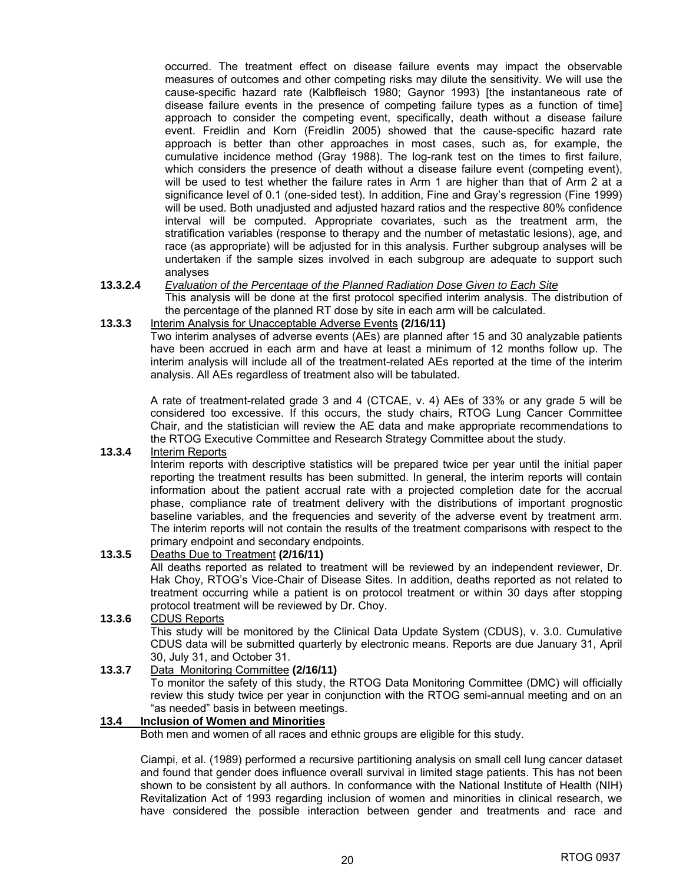occurred. The treatment effect on disease failure events may impact the observable measures of outcomes and other competing risks may dilute the sensitivity. We will use the cause-specific hazard rate (Kalbfleisch 1980; Gaynor 1993) [the instantaneous rate of disease failure events in the presence of competing failure types as a function of time] approach to consider the competing event, specifically, death without a disease failure event. Freidlin and Korn (Freidlin 2005) showed that the cause-specific hazard rate approach is better than other approaches in most cases, such as, for example, the cumulative incidence method (Gray 1988). The log-rank test on the times to first failure, which considers the presence of death without a disease failure event (competing event), will be used to test whether the failure rates in Arm 1 are higher than that of Arm 2 at a significance level of 0.1 (one-sided test). In addition, Fine and Gray's regression (Fine 1999) will be used. Both unadjusted and adjusted hazard ratios and the respective 80% confidence interval will be computed. Appropriate covariates, such as the treatment arm, the stratification variables (response to therapy and the number of metastatic lesions), age, and race (as appropriate) will be adjusted for in this analysis. Further subgroup analyses will be undertaken if the sample sizes involved in each subgroup are adequate to support such analyses

#### **13.3.2.4** *Evaluation of the Percentage of the Planned Radiation Dose Given to Each Site*

 This analysis will be done at the first protocol specified interim analysis. The distribution of the percentage of the planned RT dose by site in each arm will be calculated.

#### **13.3.3** Interim Analysis for Unacceptable Adverse Events **(2/16/11)**

 Two interim analyses of adverse events (AEs) are planned after 15 and 30 analyzable patients have been accrued in each arm and have at least a minimum of 12 months follow up. The interim analysis will include all of the treatment-related AEs reported at the time of the interim analysis. All AEs regardless of treatment also will be tabulated.

A rate of treatment-related grade 3 and 4 (CTCAE, v. 4) AEs of 33% or any grade 5 will be considered too excessive. If this occurs, the study chairs, RTOG Lung Cancer Committee Chair, and the statistician will review the AE data and make appropriate recommendations to the RTOG Executive Committee and Research Strategy Committee about the study.

#### **13.3.4** Interim Reports

Interim reports with descriptive statistics will be prepared twice per year until the initial paper reporting the treatment results has been submitted. In general, the interim reports will contain information about the patient accrual rate with a projected completion date for the accrual phase, compliance rate of treatment delivery with the distributions of important prognostic baseline variables, and the frequencies and severity of the adverse event by treatment arm. The interim reports will not contain the results of the treatment comparisons with respect to the primary endpoint and secondary endpoints.

#### **13.3.5** Deaths Due to Treatment **(2/16/11)**

All deaths reported as related to treatment will be reviewed by an independent reviewer, Dr. Hak Choy, RTOG's Vice-Chair of Disease Sites. In addition, deaths reported as not related to treatment occurring while a patient is on protocol treatment or within 30 days after stopping protocol treatment will be reviewed by Dr. Choy.

#### **13.3.6** CDUS Reports This study will be monitored by the Clinical Data Update System (CDUS), v. 3.0. Cumulative CDUS data will be submitted quarterly by electronic means. Reports are due January 31, April 30, July 31, and October 31.

#### **13.3.7** Data Monitoring Committee **(2/16/11)**

 To monitor the safety of this study, the RTOG Data Monitoring Committee (DMC) will officially review this study twice per year in conjunction with the RTOG semi-annual meeting and on an "as needed" basis in between meetings.

#### **13.4 Inclusion of Women and Minorities**

Both men and women of all races and ethnic groups are eligible for this study.

Ciampi, et al. (1989) performed a recursive partitioning analysis on small cell lung cancer dataset and found that gender does influence overall survival in limited stage patients. This has not been shown to be consistent by all authors. In conformance with the National Institute of Health (NIH) Revitalization Act of 1993 regarding inclusion of women and minorities in clinical research, we have considered the possible interaction between gender and treatments and race and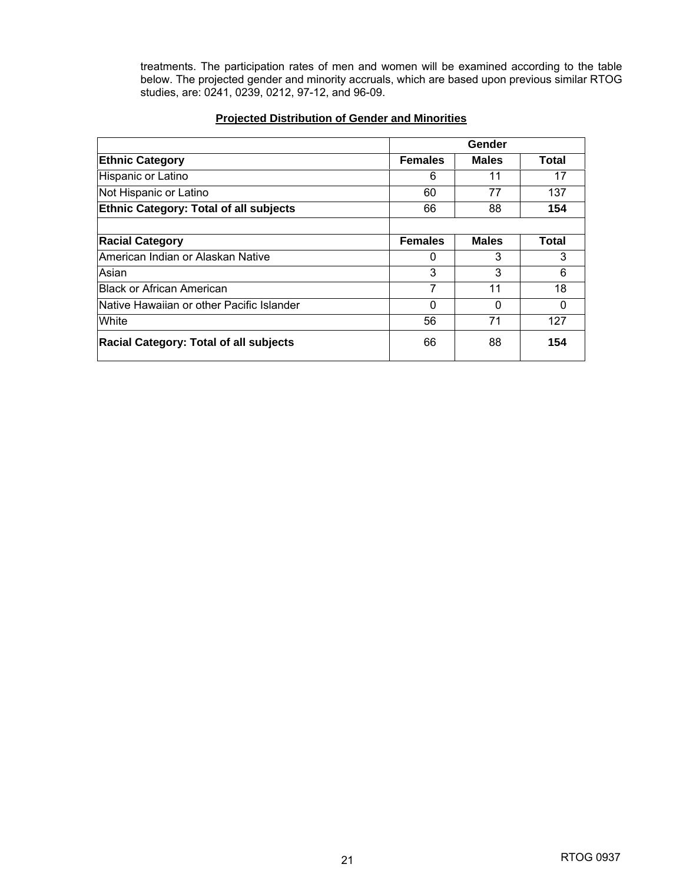treatments. The participation rates of men and women will be examined according to the table below. The projected gender and minority accruals, which are based upon previous similar RTOG studies, are: 0241, 0239, 0212, 97-12, and 96-09.

#### **Projected Distribution of Gender and Minorities**

|                                               | Gender         |              |              |  |
|-----------------------------------------------|----------------|--------------|--------------|--|
| <b>Ethnic Category</b>                        | <b>Females</b> | <b>Males</b> | Total        |  |
| Hispanic or Latino                            | 6              | 11           | 17           |  |
| Not Hispanic or Latino                        | 60             | 77           | 137          |  |
| <b>Ethnic Category: Total of all subjects</b> | 66             | 88           | 154          |  |
|                                               |                |              |              |  |
| <b>Racial Category</b>                        | <b>Females</b> | <b>Males</b> | <b>Total</b> |  |
| American Indian or Alaskan Native             | $\Omega$       | 3            | 3            |  |
| Asian                                         | 3              | 3            | 6            |  |
| <b>IBlack or African American</b>             | 7              | 11           | 18           |  |
| lNative Hawaiian or other Pacific Islander    | $\Omega$       | $\Omega$     | $\Omega$     |  |
| White                                         | 56             | 71           | 127          |  |
| <b>Racial Category: Total of all subjects</b> | 66             | 88           | 154          |  |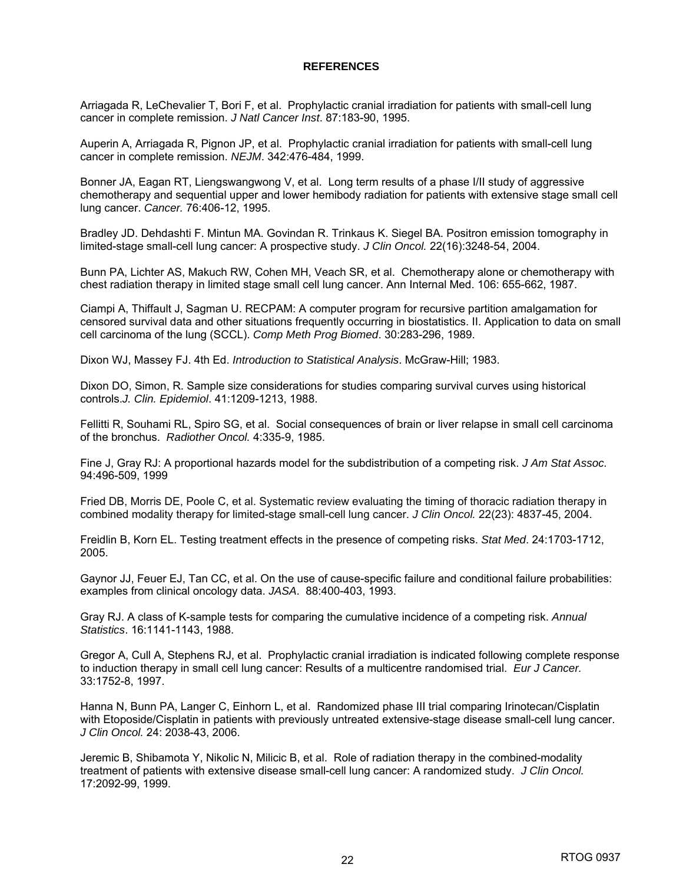#### **REFERENCES**

Arriagada R, LeChevalier T, Bori F, et al. Prophylactic cranial irradiation for patients with small-cell lung cancer in complete remission. *J Natl Cancer Inst*. 87:183-90, 1995.

Auperin A, Arriagada R, Pignon JP, et al. Prophylactic cranial irradiation for patients with small-cell lung cancer in complete remission. *NEJM*. 342:476-484, 1999.

Bonner JA, Eagan RT, Liengswangwong V, et al. Long term results of a phase I/II study of aggressive chemotherapy and sequential upper and lower hemibody radiation for patients with extensive stage small cell lung cancer. *Cancer.* 76:406-12, 1995.

Bradley JD. Dehdashti F. Mintun MA. Govindan R. Trinkaus K. Siegel BA. Positron emission tomography in limited-stage small-cell lung cancer: A prospective study. *J Clin Oncol.* 22(16):3248-54, 2004.

Bunn PA, Lichter AS, Makuch RW, Cohen MH, Veach SR, et al. Chemotherapy alone or chemotherapy with chest radiation therapy in limited stage small cell lung cancer. Ann Internal Med. 106: 655-662, 1987.

Ciampi A, Thiffault J, Sagman U. RECPAM: A computer program for recursive partition amalgamation for censored survival data and other situations frequently occurring in biostatistics. II. Application to data on small cell carcinoma of the lung (SCCL). *Comp Meth Prog Biomed*. 30:283-296, 1989.

Dixon WJ, Massey FJ. 4th Ed. *Introduction to Statistical Analysis*. McGraw-Hill; 1983.

Dixon DO, Simon, R. Sample size considerations for studies comparing survival curves using historical controls.*J. Clin. Epidemiol*. 41:1209-1213, 1988.

Fellitti R, Souhami RL, Spiro SG, et al. Social consequences of brain or liver relapse in small cell carcinoma of the bronchus. *Radiother Oncol.* 4:335-9, 1985.

Fine J, Gray RJ: A proportional hazards model for the subdistribution of a competing risk. *J Am Stat Assoc.* 94:496-509, 1999

Fried DB, Morris DE, Poole C, et al. Systematic review evaluating the timing of thoracic radiation therapy in combined modality therapy for limited-stage small-cell lung cancer. *J Clin Oncol.* 22(23): 4837-45, 2004.

Freidlin B, Korn EL. Testing treatment effects in the presence of competing risks. *Stat Med*. 24:1703-1712, 2005.

Gaynor JJ, Feuer EJ, Tan CC, et al. On the use of cause-specific failure and conditional failure probabilities: examples from clinical oncology data. *JASA*. 88:400-403, 1993.

Gray RJ. A class of K-sample tests for comparing the cumulative incidence of a competing risk. *Annual Statistics*. 16:1141-1143, 1988.

Gregor A, Cull A, Stephens RJ, et al. Prophylactic cranial irradiation is indicated following complete response to induction therapy in small cell lung cancer: Results of a multicentre randomised trial. *Eur J Cancer.* 33:1752-8, 1997.

Hanna N, Bunn PA, Langer C, Einhorn L, et al. Randomized phase III trial comparing Irinotecan/Cisplatin with Etoposide/Cisplatin in patients with previously untreated extensive-stage disease small-cell lung cancer. *J Clin Oncol.* 24: 2038-43, 2006.

Jeremic B, Shibamota Y, Nikolic N, Milicic B, et al. Role of radiation therapy in the combined-modality treatment of patients with extensive disease small-cell lung cancer: A randomized study. *J Clin Oncol.* 17:2092-99, 1999.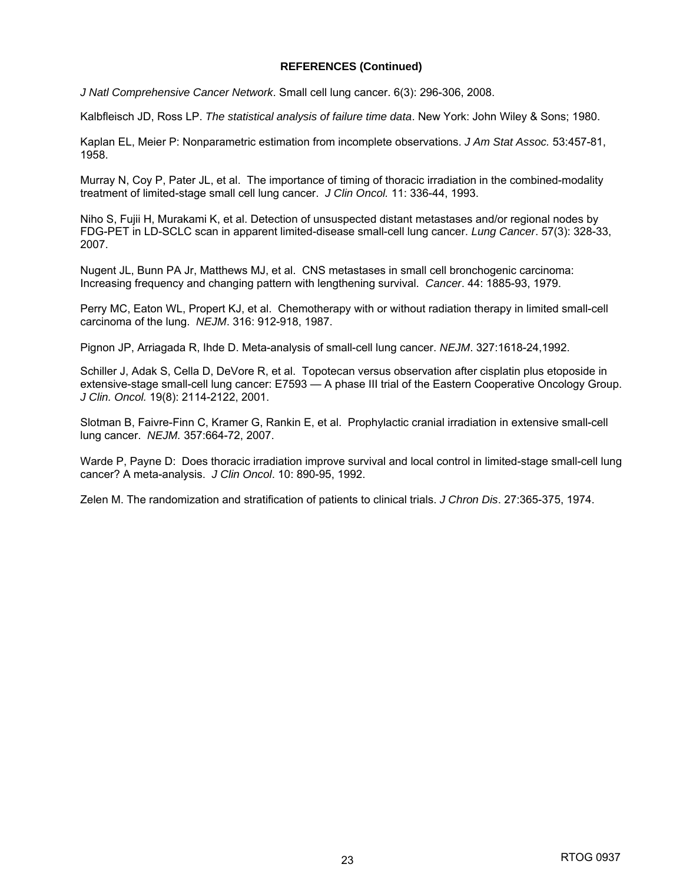#### **REFERENCES (Continued)**

*J Natl Comprehensive Cancer Network*. Small cell lung cancer. 6(3): 296-306, 2008.

Kalbfleisch JD, Ross LP. *The statistical analysis of failure time data*. New York: John Wiley & Sons; 1980.

Kaplan EL, Meier P: Nonparametric estimation from incomplete observations. *J Am Stat Assoc.* 53:457-81, 1958.

Murray N, Coy P, Pater JL, et al. The importance of timing of thoracic irradiation in the combined-modality treatment of limited-stage small cell lung cancer. *J Clin Oncol.* 11: 336-44, 1993.

Niho S, Fujii H, Murakami K, et al. Detection of unsuspected distant metastases and/or regional nodes by FDG-PET in LD-SCLC scan in apparent limited-disease small-cell lung cancer. *Lung Cancer*. 57(3): 328-33, 2007.

Nugent JL, Bunn PA Jr, Matthews MJ, et al. CNS metastases in small cell bronchogenic carcinoma: Increasing frequency and changing pattern with lengthening survival. *Cancer*. 44: 1885-93, 1979.

Perry MC, Eaton WL, Propert KJ, et al. Chemotherapy with or without radiation therapy in limited small-cell carcinoma of the lung. *NEJM*. 316: 912-918, 1987.

Pignon JP, Arriagada R, Ihde D. Meta-analysis of small-cell lung cancer. *NEJM*. 327:1618-24,1992.

Schiller J, Adak S, Cella D, DeVore R, et al. Topotecan versus observation after cisplatin plus etoposide in extensive-stage small-cell lung cancer: E7593 — A phase III trial of the Eastern Cooperative Oncology Group. *J Clin. Oncol.* 19(8): 2114-2122, 2001.

Slotman B, Faivre-Finn C, Kramer G, Rankin E, et al. Prophylactic cranial irradiation in extensive small-cell lung cancer. *NEJM.* 357:664-72, 2007.

Warde P, Payne D: Does thoracic irradiation improve survival and local control in limited-stage small-cell lung cancer? A meta-analysis. *J Clin Oncol*. 10: 890-95, 1992.

Zelen M. The randomization and stratification of patients to clinical trials. *J Chron Dis*. 27:365-375, 1974.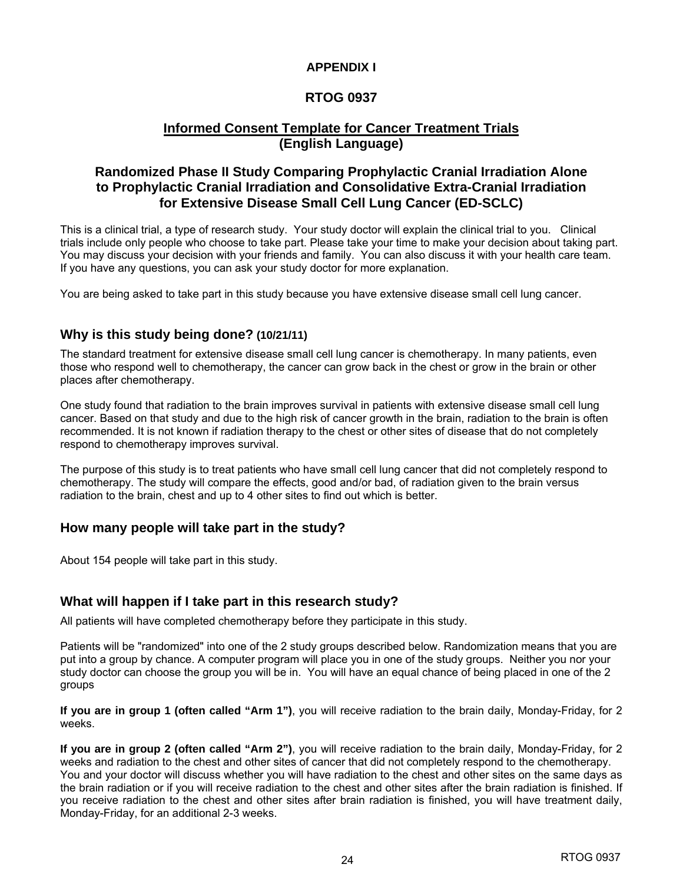#### **APPENDIX I**

### **RTOG 0937**

### **Informed Consent Template for Cancer Treatment Trials (English Language)**

### **Randomized Phase II Study Comparing Prophylactic Cranial Irradiation Alone to Prophylactic Cranial Irradiation and Consolidative Extra-Cranial Irradiation for Extensive Disease Small Cell Lung Cancer (ED-SCLC)**

This is a clinical trial, a type of research study. Your study doctor will explain the clinical trial to you. Clinical trials include only people who choose to take part. Please take your time to make your decision about taking part. You may discuss your decision with your friends and family. You can also discuss it with your health care team. If you have any questions, you can ask your study doctor for more explanation.

You are being asked to take part in this study because you have extensive disease small cell lung cancer.

#### **Why is this study being done? (10/21/11)**

The standard treatment for extensive disease small cell lung cancer is chemotherapy. In many patients, even those who respond well to chemotherapy, the cancer can grow back in the chest or grow in the brain or other places after chemotherapy.

One study found that radiation to the brain improves survival in patients with extensive disease small cell lung cancer. Based on that study and due to the high risk of cancer growth in the brain, radiation to the brain is often recommended. It is not known if radiation therapy to the chest or other sites of disease that do not completely respond to chemotherapy improves survival.

The purpose of this study is to treat patients who have small cell lung cancer that did not completely respond to chemotherapy. The study will compare the effects, good and/or bad, of radiation given to the brain versus radiation to the brain, chest and up to 4 other sites to find out which is better.

#### **How many people will take part in the study?**

About 154 people will take part in this study.

#### **What will happen if I take part in this research study?**

All patients will have completed chemotherapy before they participate in this study.

Patients will be "randomized" into one of the 2 study groups described below. Randomization means that you are put into a group by chance. A computer program will place you in one of the study groups. Neither you nor your study doctor can choose the group you will be in. You will have an equal chance of being placed in one of the 2 groups

**If you are in group 1 (often called "Arm 1")**, you will receive radiation to the brain daily, Monday-Friday, for 2 weeks.

**If you are in group 2 (often called "Arm 2")**, you will receive radiation to the brain daily, Monday-Friday, for 2 weeks and radiation to the chest and other sites of cancer that did not completely respond to the chemotherapy. You and your doctor will discuss whether you will have radiation to the chest and other sites on the same days as the brain radiation or if you will receive radiation to the chest and other sites after the brain radiation is finished. If you receive radiation to the chest and other sites after brain radiation is finished, you will have treatment daily, Monday-Friday, for an additional 2-3 weeks.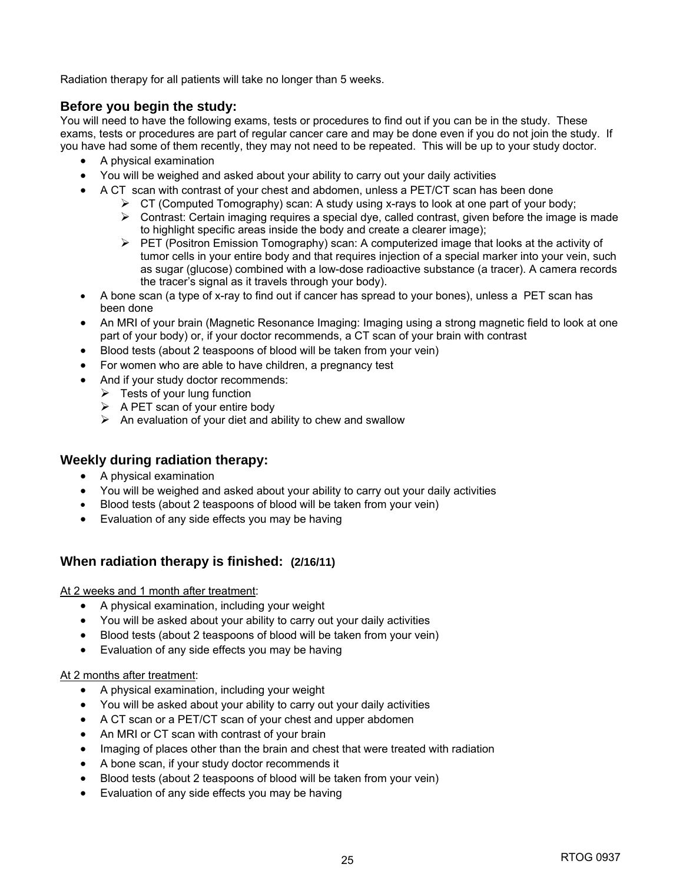Radiation therapy for all patients will take no longer than 5 weeks.

#### **Before you begin the study:**

You will need to have the following exams, tests or procedures to find out if you can be in the study. These exams, tests or procedures are part of regular cancer care and may be done even if you do not join the study. If you have had some of them recently, they may not need to be repeated. This will be up to your study doctor.

- A physical examination
- You will be weighed and asked about your ability to carry out your daily activities
- A CT scan with contrast of your chest and abdomen, unless a PET/CT scan has been done
	- $\triangleright$  CT (Computed Tomography) scan: A study using x-rays to look at one part of your body;
	- $\triangleright$  Contrast: Certain imaging requires a special dye, called contrast, given before the image is made to highlight specific areas inside the body and create a clearer image);
	- PET (Positron Emission Tomography) scan: A computerized image that looks at the activity of tumor cells in your entire body and that requires injection of a special marker into your vein, such as sugar (glucose) combined with a low-dose radioactive substance (a tracer). A camera records the tracer's signal as it travels through your body).
- A bone scan (a type of x-ray to find out if cancer has spread to your bones), unless a PET scan has been done
- An MRI of your brain (Magnetic Resonance Imaging: Imaging using a strong magnetic field to look at one part of your body) or, if your doctor recommends, a CT scan of your brain with contrast
- Blood tests (about 2 teaspoons of blood will be taken from your vein)
- For women who are able to have children, a pregnancy test
- And if your study doctor recommends:
	- $\triangleright$  Tests of your lung function
	- $\triangleright$  A PET scan of your entire body
	- $\triangleright$  An evaluation of your diet and ability to chew and swallow

#### **Weekly during radiation therapy:**

- A physical examination
- You will be weighed and asked about your ability to carry out your daily activities
- Blood tests (about 2 teaspoons of blood will be taken from your vein)
- Evaluation of any side effects you may be having

#### **When radiation therapy is finished: (2/16/11)**

At 2 weeks and 1 month after treatment:

- A physical examination, including your weight
- You will be asked about your ability to carry out your daily activities
- Blood tests (about 2 teaspoons of blood will be taken from your vein)
- Evaluation of any side effects you may be having

#### At 2 months after treatment:

- A physical examination, including your weight
- You will be asked about your ability to carry out your daily activities
- A CT scan or a PET/CT scan of your chest and upper abdomen
- An MRI or CT scan with contrast of your brain
- Imaging of places other than the brain and chest that were treated with radiation
- A bone scan, if your study doctor recommends it
- Blood tests (about 2 teaspoons of blood will be taken from your vein)
- Evaluation of any side effects you may be having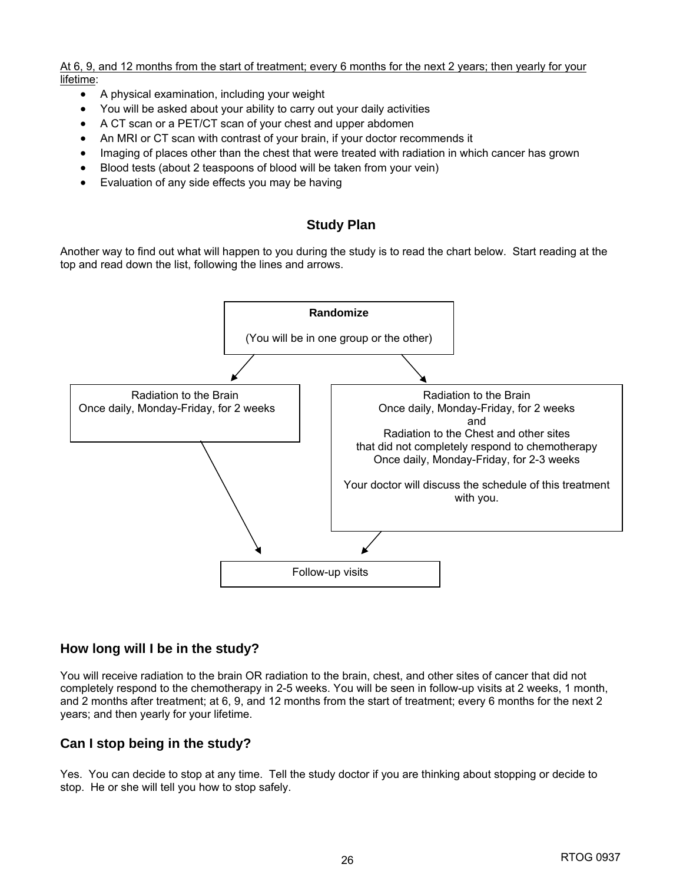At 6, 9, and 12 months from the start of treatment; every 6 months for the next 2 years; then yearly for your lifetime:

- A physical examination, including your weight
- You will be asked about your ability to carry out your daily activities
- A CT scan or a PET/CT scan of your chest and upper abdomen
- An MRI or CT scan with contrast of your brain, if your doctor recommends it
- Imaging of places other than the chest that were treated with radiation in which cancer has grown
- Blood tests (about 2 teaspoons of blood will be taken from your vein)
- Evaluation of any side effects you may be having

### **Study Plan**

Another way to find out what will happen to you during the study is to read the chart below. Start reading at the top and read down the list, following the lines and arrows.



#### **How long will I be in the study?**

You will receive radiation to the brain OR radiation to the brain, chest, and other sites of cancer that did not completely respond to the chemotherapy in 2-5 weeks. You will be seen in follow-up visits at 2 weeks, 1 month, and 2 months after treatment; at 6, 9, and 12 months from the start of treatment; every 6 months for the next 2 years; and then yearly for your lifetime.

#### **Can I stop being in the study?**

Yes. You can decide to stop at any time. Tell the study doctor if you are thinking about stopping or decide to stop. He or she will tell you how to stop safely.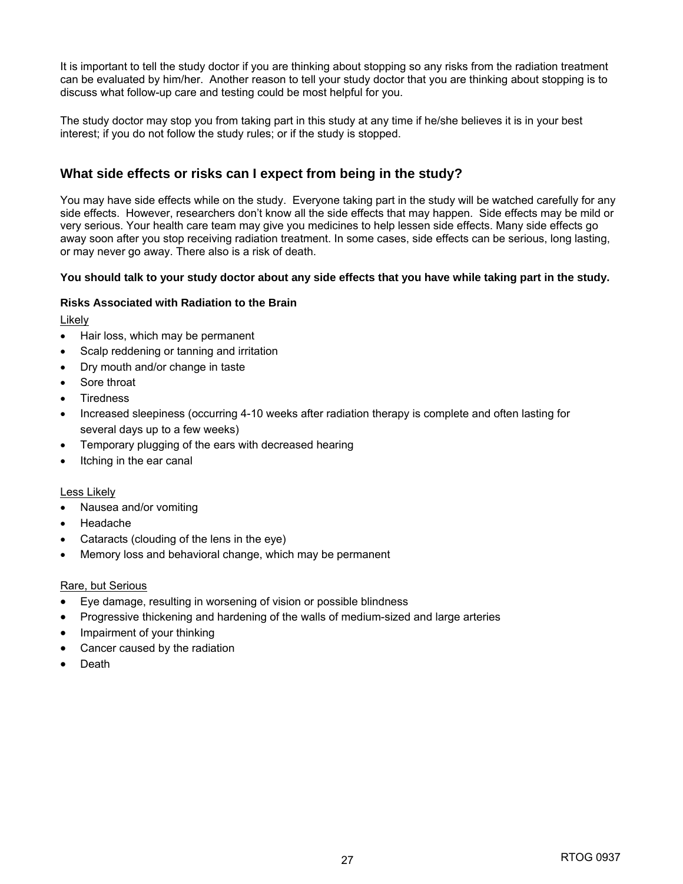It is important to tell the study doctor if you are thinking about stopping so any risks from the radiation treatment can be evaluated by him/her. Another reason to tell your study doctor that you are thinking about stopping is to discuss what follow-up care and testing could be most helpful for you.

The study doctor may stop you from taking part in this study at any time if he/she believes it is in your best interest; if you do not follow the study rules; or if the study is stopped.

### **What side effects or risks can I expect from being in the study?**

You may have side effects while on the study. Everyone taking part in the study will be watched carefully for any side effects. However, researchers don't know all the side effects that may happen. Side effects may be mild or very serious. Your health care team may give you medicines to help lessen side effects. Many side effects go away soon after you stop receiving radiation treatment. In some cases, side effects can be serious, long lasting, or may never go away. There also is a risk of death.

#### **You should talk to your study doctor about any side effects that you have while taking part in the study.**

#### **Risks Associated with Radiation to the Brain**

Likely

- Hair loss, which may be permanent
- Scalp reddening or tanning and irritation
- Dry mouth and/or change in taste
- Sore throat
- **Tiredness**
- Increased sleepiness (occurring 4-10 weeks after radiation therapy is complete and often lasting for several days up to a few weeks)
- Temporary plugging of the ears with decreased hearing
- Itching in the ear canal

#### Less Likely

- Nausea and/or vomiting
- Headache
- Cataracts (clouding of the lens in the eye)
- Memory loss and behavioral change, which may be permanent

#### Rare, but Serious

- Eye damage, resulting in worsening of vision or possible blindness
- Progressive thickening and hardening of the walls of medium-sized and large arteries
- Impairment of your thinking
- Cancer caused by the radiation
- Death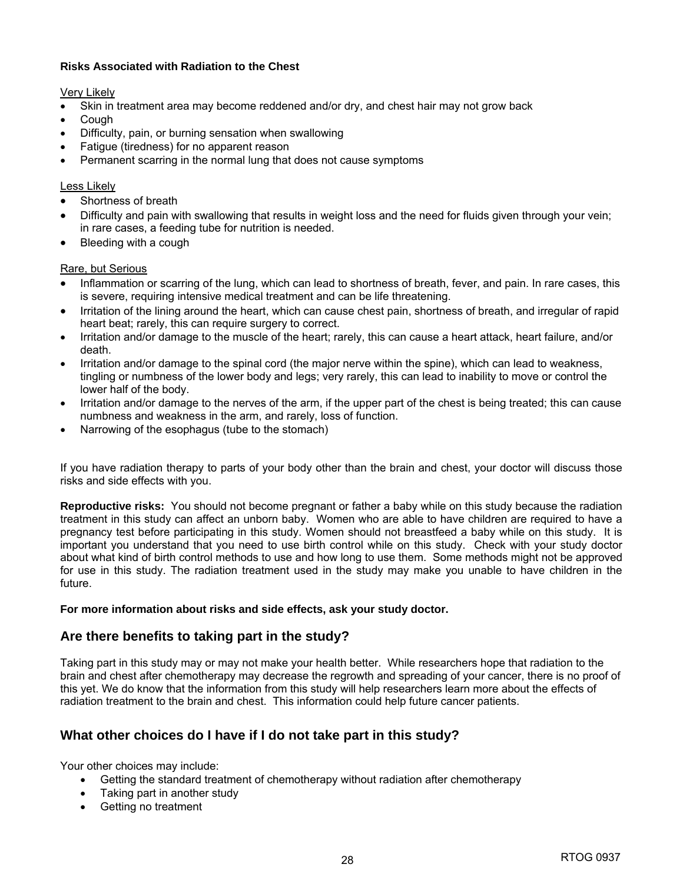#### **Risks Associated with Radiation to the Chest**

Very Likely

- Skin in treatment area may become reddened and/or dry, and chest hair may not grow back
- **Cough**
- Difficulty, pain, or burning sensation when swallowing
- Fatigue (tiredness) for no apparent reason
- Permanent scarring in the normal lung that does not cause symptoms

#### Less Likely

- Shortness of breath
- Difficulty and pain with swallowing that results in weight loss and the need for fluids given through your vein; in rare cases, a feeding tube for nutrition is needed.
- Bleeding with a cough

#### Rare, but Serious

- Inflammation or scarring of the lung, which can lead to shortness of breath, fever, and pain. In rare cases, this is severe, requiring intensive medical treatment and can be life threatening.
- Irritation of the lining around the heart, which can cause chest pain, shortness of breath, and irregular of rapid heart beat; rarely, this can require surgery to correct.
- Irritation and/or damage to the muscle of the heart; rarely, this can cause a heart attack, heart failure, and/or death.
- Irritation and/or damage to the spinal cord (the major nerve within the spine), which can lead to weakness, tingling or numbness of the lower body and legs; very rarely, this can lead to inability to move or control the lower half of the body.
- Irritation and/or damage to the nerves of the arm, if the upper part of the chest is being treated; this can cause numbness and weakness in the arm, and rarely, loss of function.
- Narrowing of the esophagus (tube to the stomach)

If you have radiation therapy to parts of your body other than the brain and chest, your doctor will discuss those risks and side effects with you.

**Reproductive risks:** You should not become pregnant or father a baby while on this study because the radiation treatment in this study can affect an unborn baby. Women who are able to have children are required to have a pregnancy test before participating in this study. Women should not breastfeed a baby while on this study. It is important you understand that you need to use birth control while on this study. Check with your study doctor about what kind of birth control methods to use and how long to use them. Some methods might not be approved for use in this study. The radiation treatment used in the study may make you unable to have children in the future.

#### **For more information about risks and side effects, ask your study doctor.**

#### **Are there benefits to taking part in the study?**

Taking part in this study may or may not make your health better. While researchers hope that radiation to the brain and chest after chemotherapy may decrease the regrowth and spreading of your cancer, there is no proof of this yet. We do know that the information from this study will help researchers learn more about the effects of radiation treatment to the brain and chest. This information could help future cancer patients.

#### **What other choices do I have if I do not take part in this study?**

Your other choices may include:

- Getting the standard treatment of chemotherapy without radiation after chemotherapy
- Taking part in another study
- Getting no treatment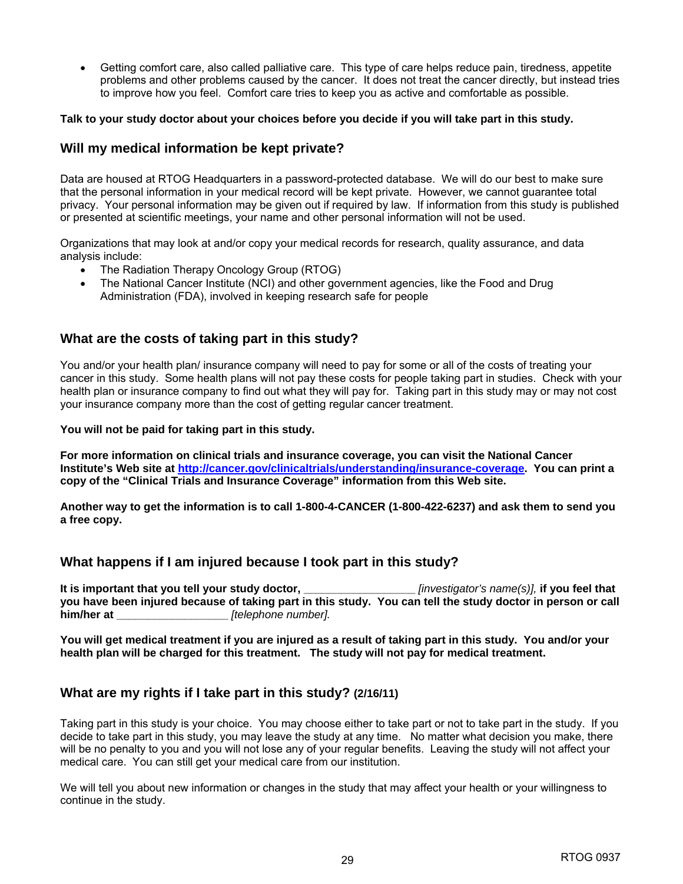Getting comfort care, also called palliative care. This type of care helps reduce pain, tiredness, appetite problems and other problems caused by the cancer. It does not treat the cancer directly, but instead tries to improve how you feel. Comfort care tries to keep you as active and comfortable as possible.

#### **Talk to your study doctor about your choices before you decide if you will take part in this study.**

#### **Will my medical information be kept private?**

Data are housed at RTOG Headquarters in a password-protected database. We will do our best to make sure that the personal information in your medical record will be kept private. However, we cannot guarantee total privacy. Your personal information may be given out if required by law. If information from this study is published or presented at scientific meetings, your name and other personal information will not be used.

Organizations that may look at and/or copy your medical records for research, quality assurance, and data analysis include:

- The Radiation Therapy Oncology Group (RTOG)
- The National Cancer Institute (NCI) and other government agencies, like the Food and Drug Administration (FDA), involved in keeping research safe for people

#### **What are the costs of taking part in this study?**

You and/or your health plan/ insurance company will need to pay for some or all of the costs of treating your cancer in this study. Some health plans will not pay these costs for people taking part in studies. Check with your health plan or insurance company to find out what they will pay for. Taking part in this study may or may not cost your insurance company more than the cost of getting regular cancer treatment.

#### **You will not be paid for taking part in this study.**

**For more information on clinical trials and insurance coverage, you can visit the National Cancer Institute's Web site at http://cancer.gov/clinicaltrials/understanding/insurance-coverage. You can print a copy of the "Clinical Trials and Insurance Coverage" information from this Web site.** 

**Another way to get the information is to call 1-800-4-CANCER (1-800-422-6237) and ask them to send you a free copy.**

#### **What happens if I am injured because I took part in this study?**

**It is important that you tell your study doctor, \_\_\_\_\_\_\_\_\_\_\_\_\_\_\_\_\_\_** *[investigator's name(s)],* **if you feel that you have been injured because of taking part in this study. You can tell the study doctor in person or call him/her at \_\_\_\_\_\_\_\_\_\_\_\_\_\_\_\_\_\_** *[telephone number].*

**You will get medical treatment if you are injured as a result of taking part in this study. You and/or your health plan will be charged for this treatment. The study will not pay for medical treatment.** 

#### **What are my rights if I take part in this study? (2/16/11)**

Taking part in this study is your choice. You may choose either to take part or not to take part in the study. If you decide to take part in this study, you may leave the study at any time. No matter what decision you make, there will be no penalty to you and you will not lose any of your regular benefits. Leaving the study will not affect your medical care. You can still get your medical care from our institution.

We will tell you about new information or changes in the study that may affect your health or your willingness to continue in the study.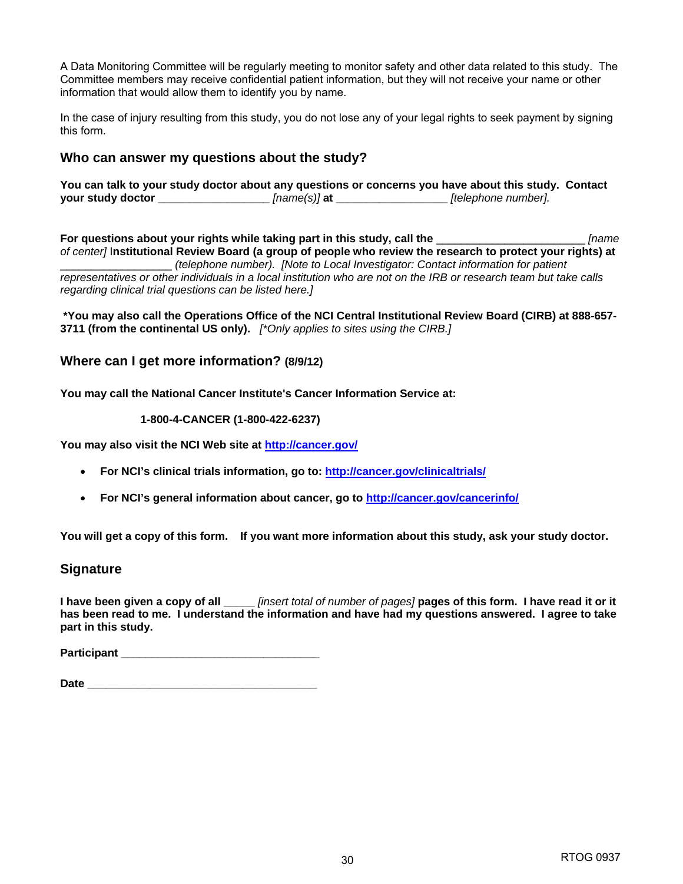A Data Monitoring Committee will be regularly meeting to monitor safety and other data related to this study. The Committee members may receive confidential patient information, but they will not receive your name or other information that would allow them to identify you by name.

In the case of injury resulting from this study, you do not lose any of your legal rights to seek payment by signing this form.

#### **Who can answer my questions about the study?**

|                   |              | You can talk to your study doctor about any questions or concerns you have about this study. Contact |  |
|-------------------|--------------|------------------------------------------------------------------------------------------------------|--|
| your study doctor | [name(s)] at | [telephone number].                                                                                  |  |

**For questions about your rights while taking part in this study, call the** \_\_\_\_\_\_\_\_\_\_\_\_\_\_\_\_\_\_\_\_\_\_\_\_ *[name of center]* I**nstitutional Review Board (a group of people who review the research to protect your rights) at**  \_\_\_\_\_\_\_\_\_\_\_\_\_\_\_\_\_\_ *(telephone number). [Note to Local Investigator: Contact information for patient representatives or other individuals in a local institution who are not on the IRB or research team but take calls regarding clinical trial questions can be listed here.]* 

**\*You may also call the Operations Office of the NCI Central Institutional Review Board (CIRB) at 888-657- 3711 (from the continental US only).** *[\*Only applies to sites using the CIRB.]* 

#### **Where can I get more information? (8/9/12)**

**You may call the National Cancer Institute's Cancer Information Service at:** 

#### **1-800-4-CANCER (1-800-422-6237)**

**You may also visit the NCI Web site at http://cancer.gov/**

- **For NCI's clinical trials information, go to: http://cancer.gov/clinicaltrials/**
- **For NCI's general information about cancer, go to http://cancer.gov/cancerinfo/**

**You will get a copy of this form. If you want more information about this study, ask your study doctor.**

#### **Signature**

**I have been given a copy of all \_\_\_\_\_** *[insert total of number of pages]* **pages of this form. I have read it or it has been read to me. I understand the information and have had my questions answered. I agree to take part in this study.** 

**Participant \_\_\_\_\_\_\_\_\_\_\_\_\_\_\_\_\_\_\_\_\_\_\_\_\_\_\_\_\_\_\_\_**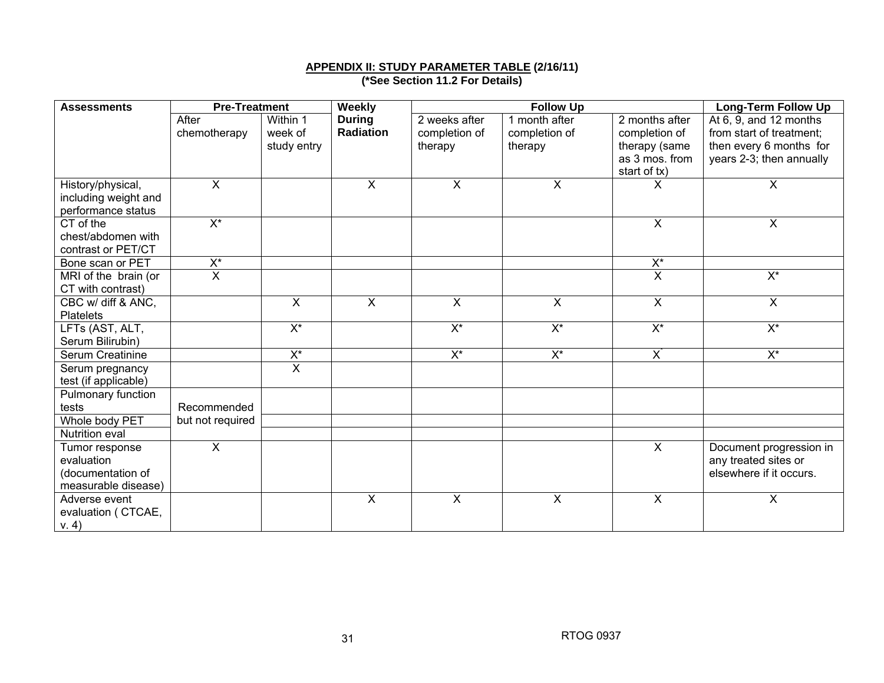#### **APPENDIX II: STUDY PARAMETER TABLE (2/16/11)**

**(\*See Section 11.2 For Details)** 

| <b>Assessments</b>          | <b>Pre-Treatment</b>    |                                  | Weekly                  |                         | <b>Follow Up</b>          |                         | <b>Long-Term Follow Up</b> |
|-----------------------------|-------------------------|----------------------------------|-------------------------|-------------------------|---------------------------|-------------------------|----------------------------|
|                             | After                   | Within 1                         | <b>During</b>           | 2 weeks after           | 1 month after             | 2 months after          | At $6, 9$ , and 12 months  |
|                             | chemotherapy            | week of                          | <b>Radiation</b>        | completion of           | completion of             | completion of           | from start of treatment;   |
|                             |                         | study entry                      |                         | therapy                 | therapy                   | therapy (same           | then every 6 months for    |
|                             |                         |                                  |                         |                         |                           | as 3 mos. from          | years 2-3; then annually   |
|                             |                         |                                  |                         |                         |                           | start of tx)            |                            |
| History/physical,           | $\overline{\mathsf{x}}$ |                                  | $\overline{X}$          | $\overline{\mathsf{x}}$ | X                         | x                       | $\overline{X}$             |
| including weight and        |                         |                                  |                         |                         |                           |                         |                            |
| performance status          |                         |                                  |                         |                         |                           |                         |                            |
| CT of the                   | $\overline{X^*}$        |                                  |                         |                         |                           | $\overline{X}$          | $\overline{\mathsf{x}}$    |
| chest/abdomen with          |                         |                                  |                         |                         |                           |                         |                            |
| contrast or PET/CT          |                         |                                  |                         |                         |                           |                         |                            |
| Bone scan or PET            | $X^*$                   |                                  |                         |                         |                           | $X^*$                   |                            |
| MRI of the brain (or        | $\overline{\mathsf{x}}$ |                                  |                         |                         |                           | $\overline{\mathsf{x}}$ | $X^*$                      |
| CT with contrast)           |                         |                                  |                         |                         |                           |                         |                            |
| CBC w/ diff & ANC,          |                         | $\mathsf{X}$                     | $\overline{X}$          | $\overline{X}$          | $\boldsymbol{\mathsf{X}}$ | $\mathsf{X}$            | $\overline{X}$             |
| <b>Platelets</b>            |                         |                                  |                         |                         |                           |                         |                            |
| LFTs (AST, ALT,             |                         | $X^*$                            |                         | $X^*$                   | $X^*$                     | $X^*$                   | $X^*$                      |
| Serum Bilirubin)            |                         |                                  |                         |                         |                           |                         |                            |
| Serum Creatinine            |                         | $X^*$<br>$\overline{\mathsf{x}}$ |                         | $X^*$                   | $X^*$                     | $X^*$                   | $X^*$                      |
| Serum pregnancy             |                         |                                  |                         |                         |                           |                         |                            |
| test (if applicable)        |                         |                                  |                         |                         |                           |                         |                            |
| Pulmonary function<br>tests | Recommended             |                                  |                         |                         |                           |                         |                            |
| Whole body PET              | but not required        |                                  |                         |                         |                           |                         |                            |
| Nutrition eval              |                         |                                  |                         |                         |                           |                         |                            |
| Tumor response              | $\overline{X}$          |                                  |                         |                         |                           | $\overline{X}$          | Document progression in    |
| evaluation                  |                         |                                  |                         |                         |                           |                         | any treated sites or       |
| (documentation of           |                         |                                  |                         |                         |                           |                         | elsewhere if it occurs.    |
| measurable disease)         |                         |                                  |                         |                         |                           |                         |                            |
| Adverse event               |                         |                                  | $\overline{\mathsf{x}}$ | $\overline{X}$          | $\overline{\mathsf{x}}$   | $\overline{X}$          | X                          |
| evaluation ( CTCAE,         |                         |                                  |                         |                         |                           |                         |                            |
| V. 4)                       |                         |                                  |                         |                         |                           |                         |                            |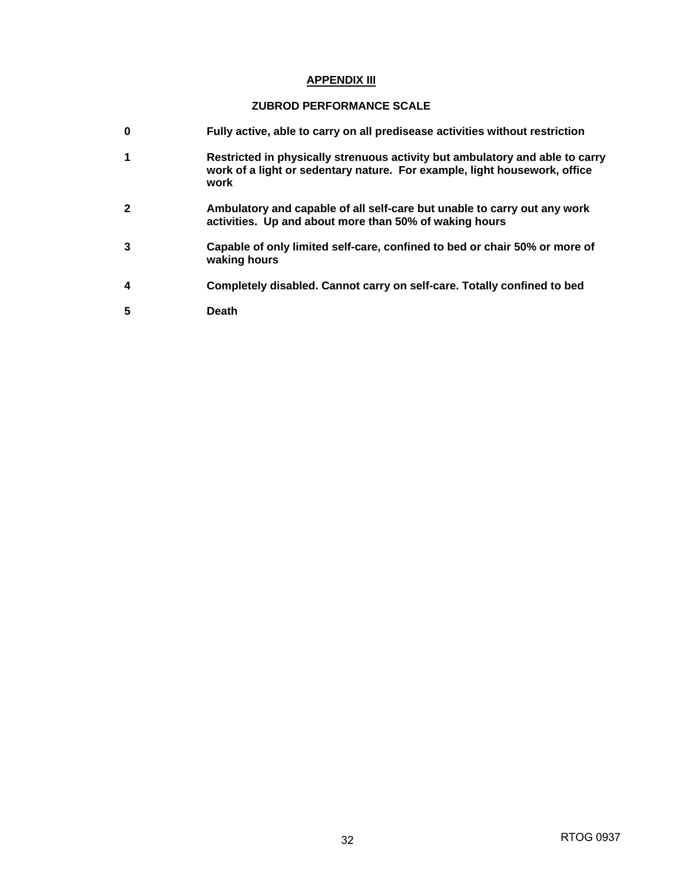#### **APPENDIX III**

#### **ZUBROD PERFORMANCE SCALE**

- **0 Fully active, able to carry on all predisease activities without restriction**
- **1 Restricted in physically strenuous activity but ambulatory and able to carry work of a light or sedentary nature. For example, light housework, office work**
- **2 Ambulatory and capable of all self-care but unable to carry out any work activities. Up and about more than 50% of waking hours**
- **3 Capable of only limited self-care, confined to bed or chair 50% or more of waking hours**
- **4 Completely disabled. Cannot carry on self-care. Totally confined to bed**
- **5 Death**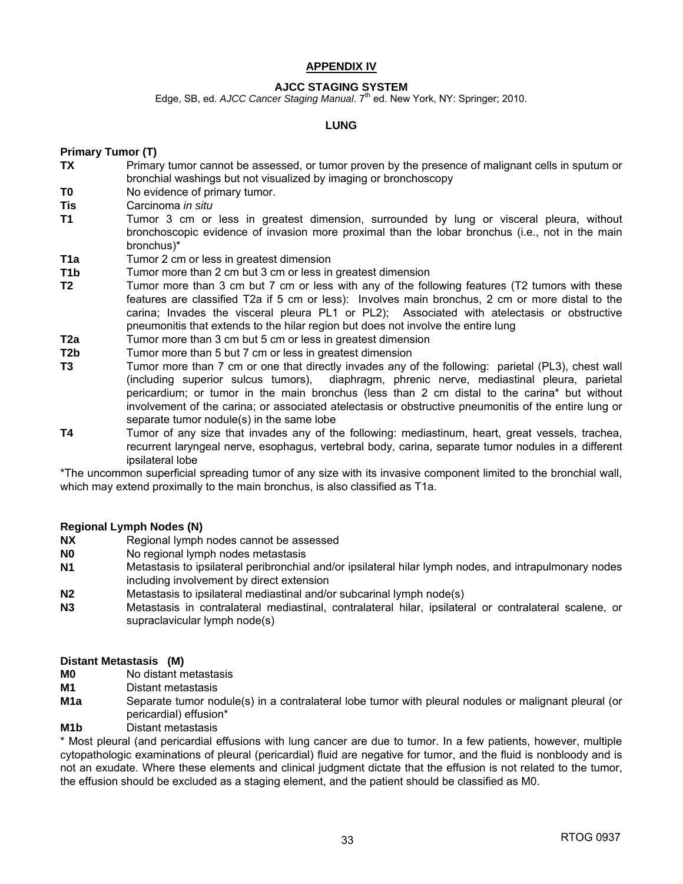#### **APPENDIX IV**

#### **AJCC STAGING SYSTEM**

Edge, SB, ed. *AJCC Cancer Staging Manual*. 7<sup>th</sup> ed. New York, NY: Springer; 2010.

#### **LUNG**

#### **Primary Tumor (T)**

- **TX** Primary tumor cannot be assessed, or tumor proven by the presence of malignant cells in sputum or bronchial washings but not visualized by imaging or bronchoscopy
- **T0** No evidence of primary tumor.
- **Tis** Carcinoma *in situ*
- **T1** Tumor 3 cm or less in greatest dimension, surrounded by lung or visceral pleura, without bronchoscopic evidence of invasion more proximal than the lobar bronchus (i.e., not in the main bronchus)\*
- **T1a** Tumor 2 cm or less in greatest dimension
- **T1b** Tumor more than 2 cm but 3 cm or less in greatest dimension
- **T2** Tumor more than 3 cm but 7 cm or less with any of the following features (T2 tumors with these features are classified T2a if 5 cm or less): Involves main bronchus, 2 cm or more distal to the carina; Invades the visceral pleura PL1 or PL2); Associated with atelectasis or obstructive pneumonitis that extends to the hilar region but does not involve the entire lung
- **T2a** Tumor more than 3 cm but 5 cm or less in greatest dimension
- **T2b** Tumor more than 5 but 7 cm or less in greatest dimension
- **T3** Tumor more than 7 cm or one that directly invades any of the following: parietal (PL3), chest wall (including superior sulcus tumors), diaphragm, phrenic nerve, mediastinal pleura, parietal pericardium; or tumor in the main bronchus (less than 2 cm distal to the carina\* but without involvement of the carina; or associated atelectasis or obstructive pneumonitis of the entire lung or separate tumor nodule(s) in the same lobe
- **T4** Tumor of any size that invades any of the following: mediastinum, heart, great vessels, trachea, recurrent laryngeal nerve, esophagus, vertebral body, carina, separate tumor nodules in a different ipsilateral lobe

\*The uncommon superficial spreading tumor of any size with its invasive component limited to the bronchial wall, which may extend proximally to the main bronchus, is also classified as T1a.

#### **Regional Lymph Nodes (N)**

- **NX** Regional lymph nodes cannot be assessed
- **N0** No regional lymph nodes metastasis
- **N1** Metastasis to ipsilateral peribronchial and/or ipsilateral hilar lymph nodes, and intrapulmonary nodes including involvement by direct extension
- **N2** Metastasis to ipsilateral mediastinal and/or subcarinal lymph node(s)
- **N3** Metastasis in contralateral mediastinal, contralateral hilar, ipsilateral or contralateral scalene, or supraclavicular lymph node(s)

#### **Distant Metastasis (M)**

- **M0** No distant metastasis
- **M1** Distant metastasis
- **M1a** Separate tumor nodule(s) in a contralateral lobe tumor with pleural nodules or malignant pleural (or pericardial) effusion\*
- **M1b** Distant metastasis

\* Most pleural (and pericardial effusions with lung cancer are due to tumor. In a few patients, however, multiple cytopathologic examinations of pleural (pericardial) fluid are negative for tumor, and the fluid is nonbloody and is not an exudate. Where these elements and clinical judgment dictate that the effusion is not related to the tumor, the effusion should be excluded as a staging element, and the patient should be classified as M0.